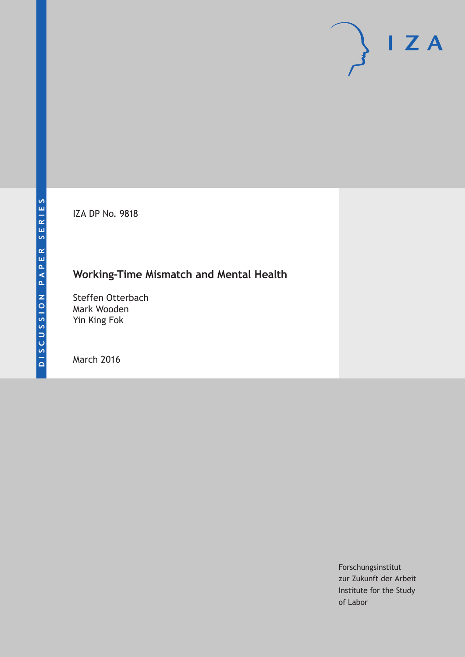IZA DP No. 9818

# **Working-Time Mismatch and Mental Health**

Steffen Otterbach Mark Wooden Yin King Fok

March 2016

Forschungsinstitut zur Zukunft der Arbeit Institute for the Study of Labor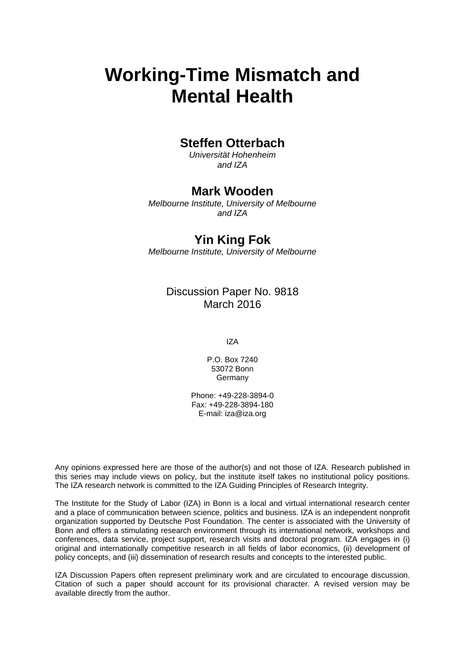# **Working-Time Mismatch and Mental Health**

### **Steffen Otterbach**

*Universität Hohenheim and IZA* 

### **Mark Wooden**

*Melbourne Institute, University of Melbourne and IZA* 

## **Yin King Fok**

*Melbourne Institute, University of Melbourne*

### Discussion Paper No. 9818 March 2016

IZA

P.O. Box 7240 53072 Bonn Germany

Phone: +49-228-3894-0 Fax: +49-228-3894-180 E-mail: iza@iza.org

Any opinions expressed here are those of the author(s) and not those of IZA. Research published in this series may include views on policy, but the institute itself takes no institutional policy positions. The IZA research network is committed to the IZA Guiding Principles of Research Integrity.

The Institute for the Study of Labor (IZA) in Bonn is a local and virtual international research center and a place of communication between science, politics and business. IZA is an independent nonprofit organization supported by Deutsche Post Foundation. The center is associated with the University of Bonn and offers a stimulating research environment through its international network, workshops and conferences, data service, project support, research visits and doctoral program. IZA engages in (i) original and internationally competitive research in all fields of labor economics, (ii) development of policy concepts, and (iii) dissemination of research results and concepts to the interested public.

IZA Discussion Papers often represent preliminary work and are circulated to encourage discussion. Citation of such a paper should account for its provisional character. A revised version may be available directly from the author.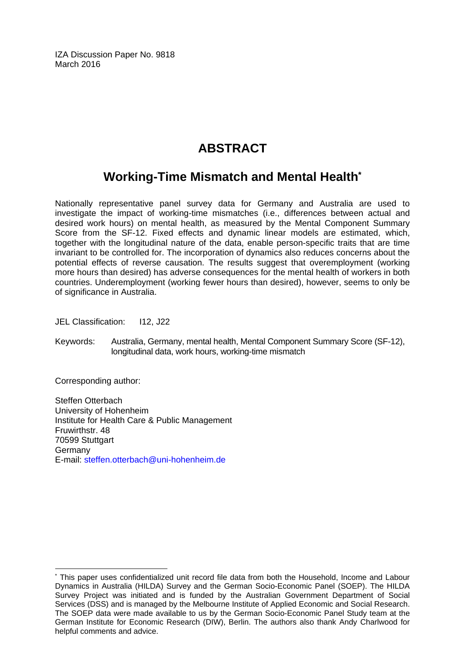IZA Discussion Paper No. 9818 March 2016

# **ABSTRACT**

# **Working-Time Mismatch and Mental Health\***

Nationally representative panel survey data for Germany and Australia are used to investigate the impact of working-time mismatches (i.e., differences between actual and desired work hours) on mental health, as measured by the Mental Component Summary Score from the SF-12. Fixed effects and dynamic linear models are estimated, which, together with the longitudinal nature of the data, enable person-specific traits that are time invariant to be controlled for. The incorporation of dynamics also reduces concerns about the potential effects of reverse causation. The results suggest that overemployment (working more hours than desired) has adverse consequences for the mental health of workers in both countries. Underemployment (working fewer hours than desired), however, seems to only be of significance in Australia.

JEL Classification: I12, J22

Keywords: Australia, Germany, mental health, Mental Component Summary Score (SF-12), longitudinal data, work hours, working-time mismatch

Corresponding author:

 $\overline{\phantom{a}}$ 

Steffen Otterbach University of Hohenheim Institute for Health Care & Public Management Fruwirthstr. 48 70599 Stuttgart Germany E-mail: steffen.otterbach@uni-hohenheim.de

<sup>\*</sup> This paper uses confidentialized unit record file data from both the Household, Income and Labour Dynamics in Australia (HILDA) Survey and the German Socio-Economic Panel (SOEP). The HILDA Survey Project was initiated and is funded by the Australian Government Department of Social Services (DSS) and is managed by the Melbourne Institute of Applied Economic and Social Research. The SOEP data were made available to us by the German Socio-Economic Panel Study team at the German Institute for Economic Research (DIW), Berlin. The authors also thank Andy Charlwood for helpful comments and advice.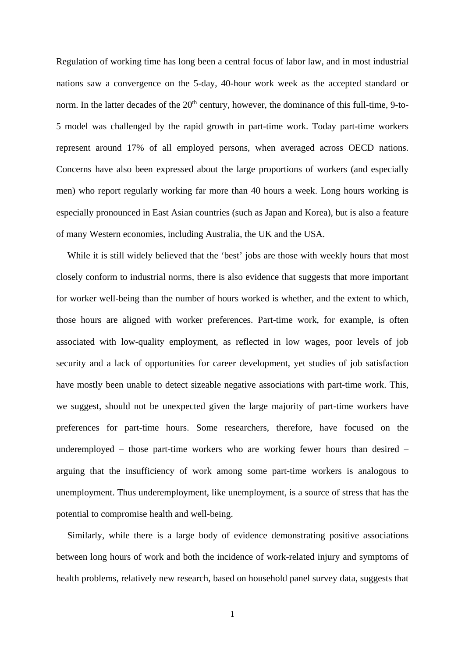Regulation of working time has long been a central focus of labor law, and in most industrial nations saw a convergence on the 5-day, 40-hour work week as the accepted standard or norm. In the latter decades of the 20<sup>th</sup> century, however, the dominance of this full-time, 9-to-5 model was challenged by the rapid growth in part-time work. Today part-time workers represent around 17% of all employed persons, when averaged across OECD nations. Concerns have also been expressed about the large proportions of workers (and especially men) who report regularly working far more than 40 hours a week. Long hours working is especially pronounced in East Asian countries (such as Japan and Korea), but is also a feature of many Western economies, including Australia, the UK and the USA.

While it is still widely believed that the 'best' jobs are those with weekly hours that most closely conform to industrial norms, there is also evidence that suggests that more important for worker well-being than the number of hours worked is whether, and the extent to which, those hours are aligned with worker preferences. Part-time work, for example, is often associated with low-quality employment, as reflected in low wages, poor levels of job security and a lack of opportunities for career development, yet studies of job satisfaction have mostly been unable to detect sizeable negative associations with part-time work. This, we suggest, should not be unexpected given the large majority of part-time workers have preferences for part-time hours. Some researchers, therefore, have focused on the underemployed – those part-time workers who are working fewer hours than desired – arguing that the insufficiency of work among some part-time workers is analogous to unemployment. Thus underemployment, like unemployment, is a source of stress that has the potential to compromise health and well-being.

Similarly, while there is a large body of evidence demonstrating positive associations between long hours of work and both the incidence of work-related injury and symptoms of health problems, relatively new research, based on household panel survey data, suggests that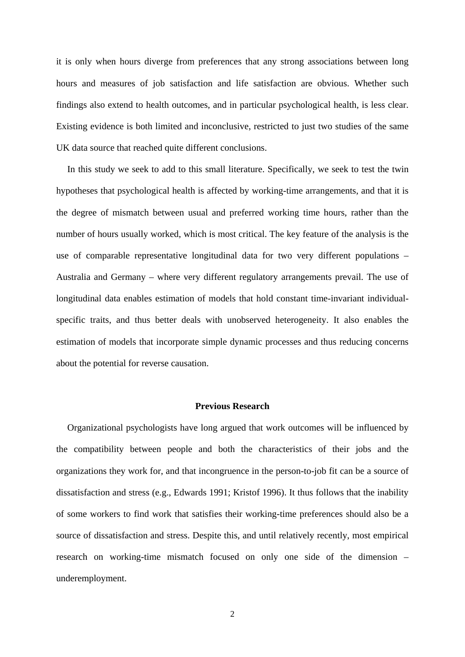it is only when hours diverge from preferences that any strong associations between long hours and measures of job satisfaction and life satisfaction are obvious. Whether such findings also extend to health outcomes, and in particular psychological health, is less clear. Existing evidence is both limited and inconclusive, restricted to just two studies of the same UK data source that reached quite different conclusions.

In this study we seek to add to this small literature. Specifically, we seek to test the twin hypotheses that psychological health is affected by working-time arrangements, and that it is the degree of mismatch between usual and preferred working time hours, rather than the number of hours usually worked, which is most critical. The key feature of the analysis is the use of comparable representative longitudinal data for two very different populations – Australia and Germany – where very different regulatory arrangements prevail. The use of longitudinal data enables estimation of models that hold constant time-invariant individualspecific traits, and thus better deals with unobserved heterogeneity. It also enables the estimation of models that incorporate simple dynamic processes and thus reducing concerns about the potential for reverse causation.

#### **Previous Research**

Organizational psychologists have long argued that work outcomes will be influenced by the compatibility between people and both the characteristics of their jobs and the organizations they work for, and that incongruence in the person-to-job fit can be a source of dissatisfaction and stress (e.g., Edwards 1991; Kristof 1996). It thus follows that the inability of some workers to find work that satisfies their working-time preferences should also be a source of dissatisfaction and stress. Despite this, and until relatively recently, most empirical research on working-time mismatch focused on only one side of the dimension – underemployment.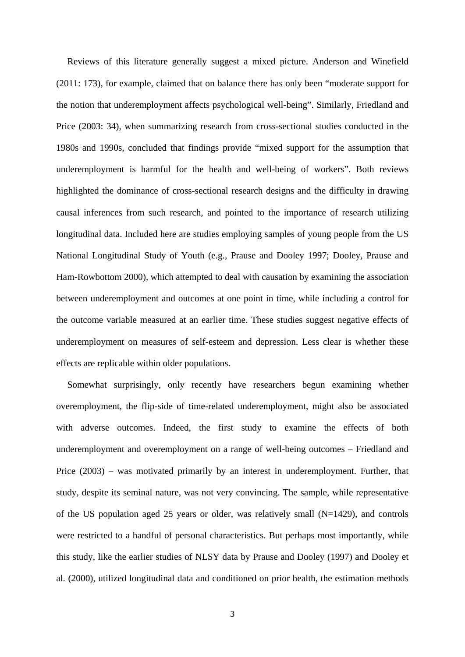Reviews of this literature generally suggest a mixed picture. Anderson and Winefield (2011: 173), for example, claimed that on balance there has only been "moderate support for the notion that underemployment affects psychological well-being". Similarly, Friedland and Price (2003: 34), when summarizing research from cross-sectional studies conducted in the 1980s and 1990s, concluded that findings provide "mixed support for the assumption that underemployment is harmful for the health and well-being of workers". Both reviews highlighted the dominance of cross-sectional research designs and the difficulty in drawing causal inferences from such research, and pointed to the importance of research utilizing longitudinal data. Included here are studies employing samples of young people from the US National Longitudinal Study of Youth (e.g., Prause and Dooley 1997; Dooley, Prause and Ham-Rowbottom 2000), which attempted to deal with causation by examining the association between underemployment and outcomes at one point in time, while including a control for the outcome variable measured at an earlier time. These studies suggest negative effects of underemployment on measures of self-esteem and depression. Less clear is whether these effects are replicable within older populations.

Somewhat surprisingly, only recently have researchers begun examining whether overemployment, the flip-side of time-related underemployment, might also be associated with adverse outcomes. Indeed, the first study to examine the effects of both underemployment and overemployment on a range of well-being outcomes – Friedland and Price (2003) – was motivated primarily by an interest in underemployment. Further, that study, despite its seminal nature, was not very convincing. The sample, while representative of the US population aged 25 years or older, was relatively small  $(N=1429)$ , and controls were restricted to a handful of personal characteristics. But perhaps most importantly, while this study, like the earlier studies of NLSY data by Prause and Dooley (1997) and Dooley et al. (2000), utilized longitudinal data and conditioned on prior health, the estimation methods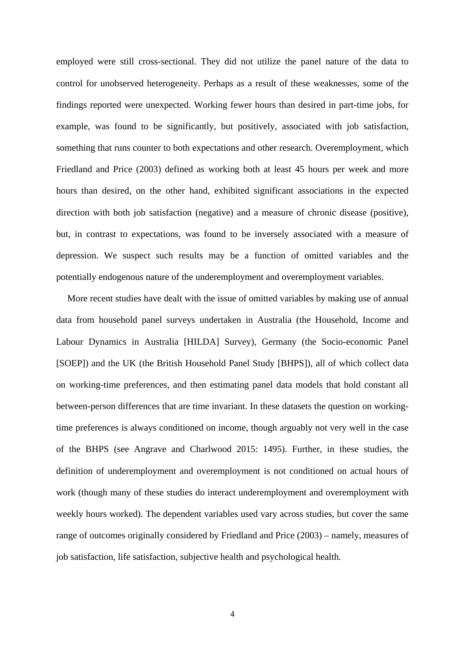employed were still cross-sectional. They did not utilize the panel nature of the data to control for unobserved heterogeneity. Perhaps as a result of these weaknesses, some of the findings reported were unexpected. Working fewer hours than desired in part-time jobs, for example, was found to be significantly, but positively, associated with job satisfaction, something that runs counter to both expectations and other research. Overemployment, which Friedland and Price (2003) defined as working both at least 45 hours per week and more hours than desired, on the other hand, exhibited significant associations in the expected direction with both job satisfaction (negative) and a measure of chronic disease (positive), but, in contrast to expectations, was found to be inversely associated with a measure of depression. We suspect such results may be a function of omitted variables and the potentially endogenous nature of the underemployment and overemployment variables.

More recent studies have dealt with the issue of omitted variables by making use of annual data from household panel surveys undertaken in Australia (the Household, Income and Labour Dynamics in Australia [HILDA] Survey), Germany (the Socio-economic Panel [SOEP]) and the UK (the British Household Panel Study [BHPS]), all of which collect data on working-time preferences, and then estimating panel data models that hold constant all between-person differences that are time invariant. In these datasets the question on workingtime preferences is always conditioned on income, though arguably not very well in the case of the BHPS (see Angrave and Charlwood 2015: 1495). Further, in these studies, the definition of underemployment and overemployment is not conditioned on actual hours of work (though many of these studies do interact underemployment and overemployment with weekly hours worked). The dependent variables used vary across studies, but cover the same range of outcomes originally considered by Friedland and Price (2003) – namely, measures of job satisfaction, life satisfaction, subjective health and psychological health.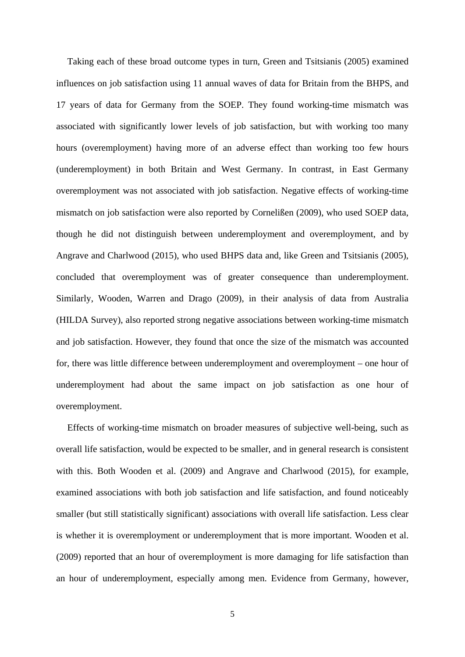Taking each of these broad outcome types in turn, Green and Tsitsianis (2005) examined influences on job satisfaction using 11 annual waves of data for Britain from the BHPS, and 17 years of data for Germany from the SOEP. They found working-time mismatch was associated with significantly lower levels of job satisfaction, but with working too many hours (overemployment) having more of an adverse effect than working too few hours (underemployment) in both Britain and West Germany. In contrast, in East Germany overemployment was not associated with job satisfaction. Negative effects of working-time mismatch on job satisfaction were also reported by Cornelißen (2009), who used SOEP data, though he did not distinguish between underemployment and overemployment, and by Angrave and Charlwood (2015), who used BHPS data and, like Green and Tsitsianis (2005), concluded that overemployment was of greater consequence than underemployment. Similarly, Wooden, Warren and Drago (2009), in their analysis of data from Australia (HILDA Survey), also reported strong negative associations between working-time mismatch and job satisfaction. However, they found that once the size of the mismatch was accounted for, there was little difference between underemployment and overemployment – one hour of underemployment had about the same impact on job satisfaction as one hour of overemployment.

Effects of working-time mismatch on broader measures of subjective well-being, such as overall life satisfaction, would be expected to be smaller, and in general research is consistent with this. Both Wooden et al. (2009) and Angrave and Charlwood (2015), for example, examined associations with both job satisfaction and life satisfaction, and found noticeably smaller (but still statistically significant) associations with overall life satisfaction. Less clear is whether it is overemployment or underemployment that is more important. Wooden et al. (2009) reported that an hour of overemployment is more damaging for life satisfaction than an hour of underemployment, especially among men. Evidence from Germany, however,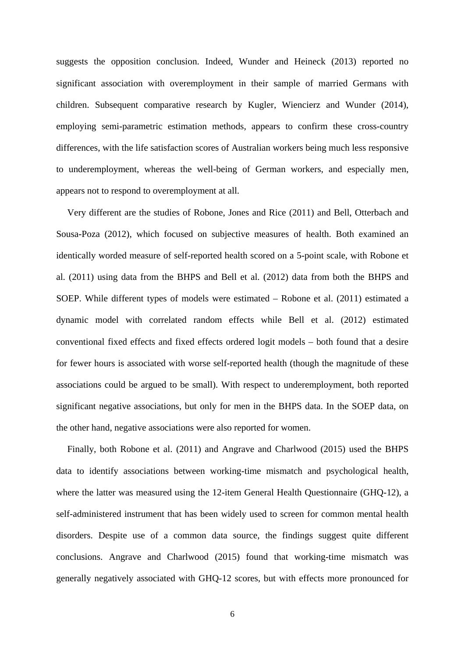suggests the opposition conclusion. Indeed, Wunder and Heineck (2013) reported no significant association with overemployment in their sample of married Germans with children. Subsequent comparative research by Kugler, Wiencierz and Wunder (2014), employing semi-parametric estimation methods, appears to confirm these cross-country differences, with the life satisfaction scores of Australian workers being much less responsive to underemployment, whereas the well-being of German workers, and especially men, appears not to respond to overemployment at all.

Very different are the studies of Robone, Jones and Rice (2011) and Bell, Otterbach and Sousa-Poza (2012), which focused on subjective measures of health. Both examined an identically worded measure of self-reported health scored on a 5-point scale, with Robone et al. (2011) using data from the BHPS and Bell et al. (2012) data from both the BHPS and SOEP. While different types of models were estimated – Robone et al. (2011) estimated a dynamic model with correlated random effects while Bell et al. (2012) estimated conventional fixed effects and fixed effects ordered logit models – both found that a desire for fewer hours is associated with worse self-reported health (though the magnitude of these associations could be argued to be small). With respect to underemployment, both reported significant negative associations, but only for men in the BHPS data. In the SOEP data, on the other hand, negative associations were also reported for women.

Finally, both Robone et al. (2011) and Angrave and Charlwood (2015) used the BHPS data to identify associations between working-time mismatch and psychological health, where the latter was measured using the 12-item General Health Questionnaire (GHO-12), a self-administered instrument that has been widely used to screen for common mental health disorders. Despite use of a common data source, the findings suggest quite different conclusions. Angrave and Charlwood (2015) found that working-time mismatch was generally negatively associated with GHQ-12 scores, but with effects more pronounced for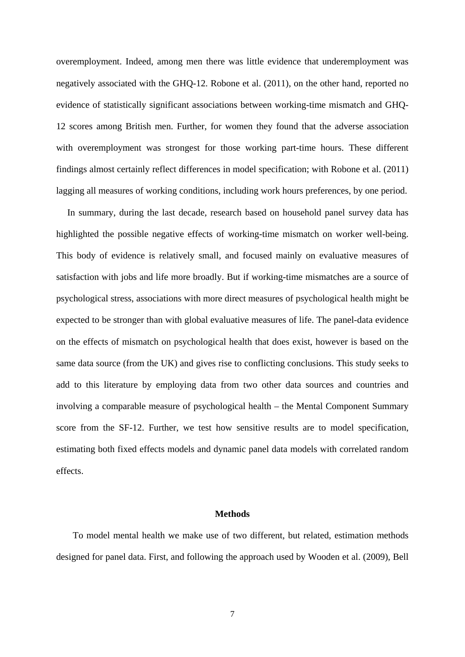overemployment. Indeed, among men there was little evidence that underemployment was negatively associated with the GHQ-12. Robone et al. (2011), on the other hand, reported no evidence of statistically significant associations between working-time mismatch and GHQ-12 scores among British men. Further, for women they found that the adverse association with overemployment was strongest for those working part-time hours. These different findings almost certainly reflect differences in model specification; with Robone et al. (2011) lagging all measures of working conditions, including work hours preferences, by one period.

In summary, during the last decade, research based on household panel survey data has highlighted the possible negative effects of working-time mismatch on worker well-being. This body of evidence is relatively small, and focused mainly on evaluative measures of satisfaction with jobs and life more broadly. But if working-time mismatches are a source of psychological stress, associations with more direct measures of psychological health might be expected to be stronger than with global evaluative measures of life. The panel-data evidence on the effects of mismatch on psychological health that does exist, however is based on the same data source (from the UK) and gives rise to conflicting conclusions. This study seeks to add to this literature by employing data from two other data sources and countries and involving a comparable measure of psychological health – the Mental Component Summary score from the SF-12. Further, we test how sensitive results are to model specification, estimating both fixed effects models and dynamic panel data models with correlated random effects.

#### **Methods**

To model mental health we make use of two different, but related, estimation methods designed for panel data. First, and following the approach used by Wooden et al. (2009), Bell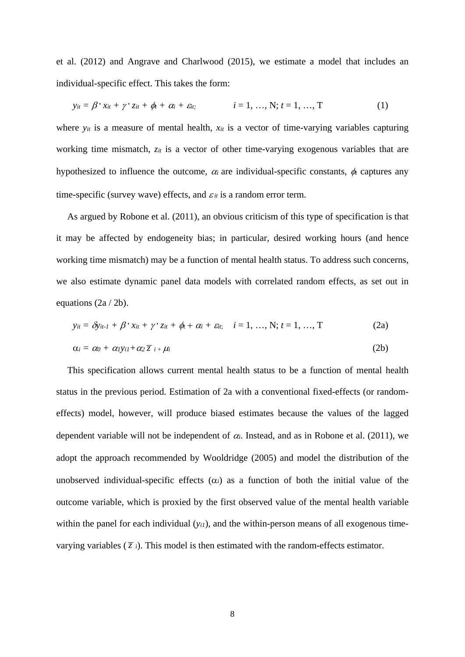et al. (2012) and Angrave and Charlwood (2015), we estimate a model that includes an individual-specific effect. This takes the form:

$$
y_{it} = \beta' x_{it} + \gamma' z_{it} + \phi_t + \alpha_i + \varepsilon_{it}; \qquad i = 1, ..., N; t = 1, ..., T
$$
 (1)

where  $y_{it}$  is a measure of mental health,  $x_{it}$  is a vector of time-varying variables capturing working time mismatch, *zit* is a vector of other time-varying exogenous variables that are hypothesized to influence the outcome,  $\alpha_i$  are individual-specific constants,  $\phi_i$  captures any time-specific (survey wave) effects, and  $\varepsilon_{it}$  is a random error term.

As argued by Robone et al. (2011), an obvious criticism of this type of specification is that it may be affected by endogeneity bias; in particular, desired working hours (and hence working time mismatch) may be a function of mental health status. To address such concerns, we also estimate dynamic panel data models with correlated random effects, as set out in equations (2a / 2b).

$$
y_{it} = \delta y_{it-1} + \beta' x_{it} + \gamma' z_{it} + \phi_t + \alpha_i + \varepsilon_{it}; \quad i = 1, ..., N; t = 1, ..., T
$$
\n
$$
\alpha_i = \alpha_0 + \alpha_1 y_{i1} + \alpha_2 \overline{z}_{i} + \mu_i
$$
\n(2b)

This specification allows current mental health status to be a function of mental health status in the previous period. Estimation of 2a with a conventional fixed-effects (or randomeffects) model, however, will produce biased estimates because the values of the lagged dependent variable will not be independent of  $\alpha_i$ . Instead, and as in Robone et al. (2011), we adopt the approach recommended by Wooldridge (2005) and model the distribution of the unobserved individual-specific effects  $(\alpha_i)$  as a function of both the initial value of the outcome variable, which is proxied by the first observed value of the mental health variable within the panel for each individual (*y<sub>i1</sub>*), and the within-person means of all exogenous timevarying variables  $(\overline{z})$ . This model is then estimated with the random-effects estimator.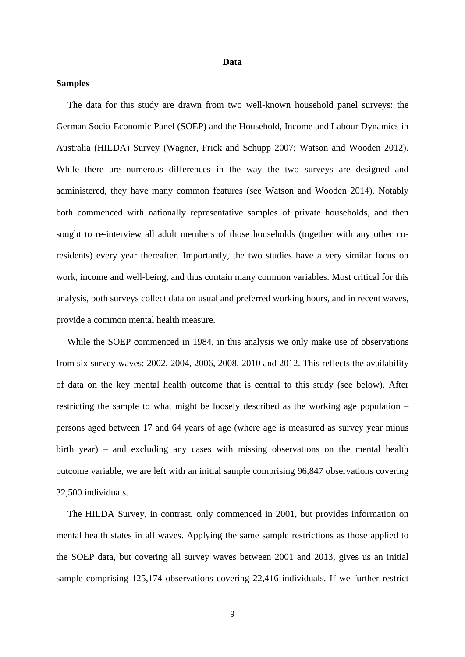#### **Data**

#### **Samples**

The data for this study are drawn from two well-known household panel surveys: the German Socio-Economic Panel (SOEP) and the Household, Income and Labour Dynamics in Australia (HILDA) Survey (Wagner, Frick and Schupp 2007; Watson and Wooden 2012). While there are numerous differences in the way the two surveys are designed and administered, they have many common features (see Watson and Wooden 2014). Notably both commenced with nationally representative samples of private households, and then sought to re-interview all adult members of those households (together with any other coresidents) every year thereafter. Importantly, the two studies have a very similar focus on work, income and well-being, and thus contain many common variables. Most critical for this analysis, both surveys collect data on usual and preferred working hours, and in recent waves, provide a common mental health measure.

While the SOEP commenced in 1984, in this analysis we only make use of observations from six survey waves: 2002, 2004, 2006, 2008, 2010 and 2012. This reflects the availability of data on the key mental health outcome that is central to this study (see below). After restricting the sample to what might be loosely described as the working age population – persons aged between 17 and 64 years of age (where age is measured as survey year minus birth year) – and excluding any cases with missing observations on the mental health outcome variable, we are left with an initial sample comprising 96,847 observations covering 32,500 individuals.

The HILDA Survey, in contrast, only commenced in 2001, but provides information on mental health states in all waves. Applying the same sample restrictions as those applied to the SOEP data, but covering all survey waves between 2001 and 2013, gives us an initial sample comprising 125,174 observations covering 22,416 individuals. If we further restrict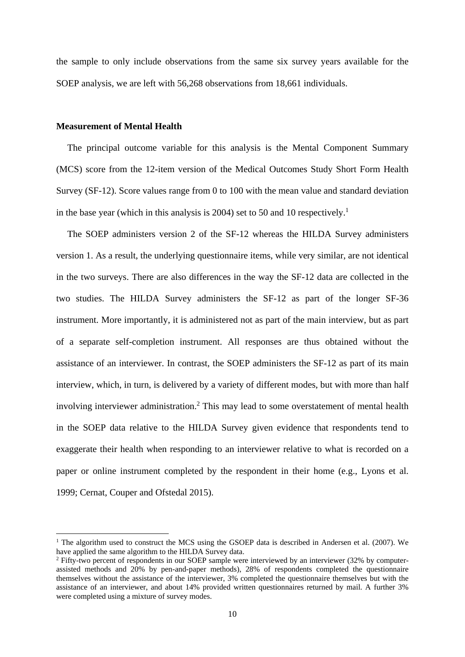the sample to only include observations from the same six survey years available for the SOEP analysis, we are left with 56,268 observations from 18,661 individuals.

#### **Measurement of Mental Health**

The principal outcome variable for this analysis is the Mental Component Summary (MCS) score from the 12-item version of the Medical Outcomes Study Short Form Health Survey (SF-12). Score values range from 0 to 100 with the mean value and standard deviation in the base year (which in this analysis is 2004) set to 50 and 10 respectively.<sup>1</sup>

The SOEP administers version 2 of the SF-12 whereas the HILDA Survey administers version 1. As a result, the underlying questionnaire items, while very similar, are not identical in the two surveys. There are also differences in the way the SF-12 data are collected in the two studies. The HILDA Survey administers the SF-12 as part of the longer SF-36 instrument. More importantly, it is administered not as part of the main interview, but as part of a separate self-completion instrument. All responses are thus obtained without the assistance of an interviewer. In contrast, the SOEP administers the SF-12 as part of its main interview, which, in turn, is delivered by a variety of different modes, but with more than half involving interviewer administration.<sup>2</sup> This may lead to some overstatement of mental health in the SOEP data relative to the HILDA Survey given evidence that respondents tend to exaggerate their health when responding to an interviewer relative to what is recorded on a paper or online instrument completed by the respondent in their home (e.g., Lyons et al. 1999; Cernat, Couper and Ofstedal 2015).

<sup>&</sup>lt;sup>1</sup> The algorithm used to construct the MCS using the GSOEP data is described in Andersen et al. (2007). We have applied the same algorithm to the HILDA Survey data.

<sup>&</sup>lt;sup>2</sup> Fifty-two percent of respondents in our SOEP sample were interviewed by an interviewer (32% by computerassisted methods and 20% by pen-and-paper methods), 28% of respondents completed the questionnaire themselves without the assistance of the interviewer, 3% completed the questionnaire themselves but with the assistance of an interviewer, and about 14% provided written questionnaires returned by mail. A further 3% were completed using a mixture of survey modes.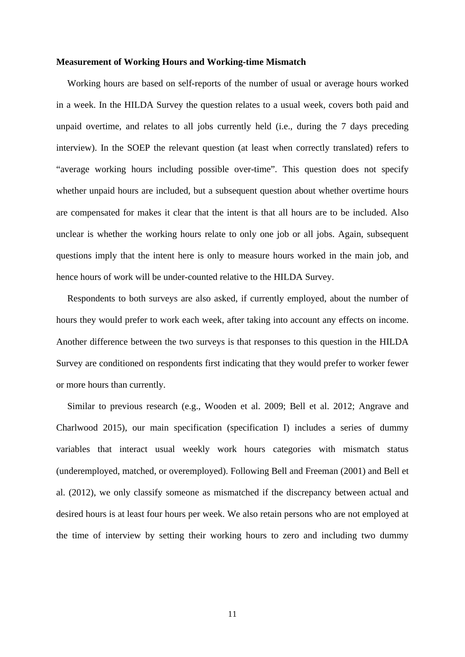#### **Measurement of Working Hours and Working-time Mismatch**

Working hours are based on self-reports of the number of usual or average hours worked in a week. In the HILDA Survey the question relates to a usual week, covers both paid and unpaid overtime, and relates to all jobs currently held (i.e., during the 7 days preceding interview). In the SOEP the relevant question (at least when correctly translated) refers to "average working hours including possible over-time". This question does not specify whether unpaid hours are included, but a subsequent question about whether overtime hours are compensated for makes it clear that the intent is that all hours are to be included. Also unclear is whether the working hours relate to only one job or all jobs. Again, subsequent questions imply that the intent here is only to measure hours worked in the main job, and hence hours of work will be under-counted relative to the HILDA Survey.

Respondents to both surveys are also asked, if currently employed, about the number of hours they would prefer to work each week, after taking into account any effects on income. Another difference between the two surveys is that responses to this question in the HILDA Survey are conditioned on respondents first indicating that they would prefer to worker fewer or more hours than currently.

Similar to previous research (e.g., Wooden et al. 2009; Bell et al. 2012; Angrave and Charlwood 2015), our main specification (specification I) includes a series of dummy variables that interact usual weekly work hours categories with mismatch status (underemployed, matched, or overemployed). Following Bell and Freeman (2001) and Bell et al. (2012), we only classify someone as mismatched if the discrepancy between actual and desired hours is at least four hours per week. We also retain persons who are not employed at the time of interview by setting their working hours to zero and including two dummy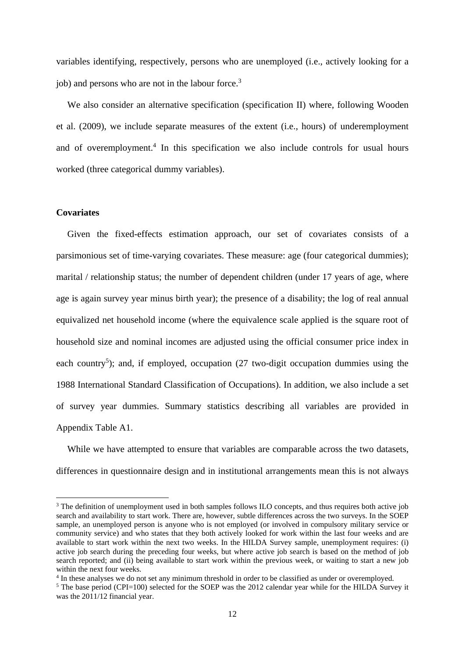variables identifying, respectively, persons who are unemployed (i.e., actively looking for a job) and persons who are not in the labour force.<sup>3</sup>

We also consider an alternative specification (specification II) where, following Wooden et al. (2009), we include separate measures of the extent (i.e., hours) of underemployment and of overemployment.<sup>4</sup> In this specification we also include controls for usual hours worked (three categorical dummy variables).

#### **Covariates**

Given the fixed-effects estimation approach, our set of covariates consists of a parsimonious set of time-varying covariates. These measure: age (four categorical dummies); marital / relationship status; the number of dependent children (under 17 years of age, where age is again survey year minus birth year); the presence of a disability; the log of real annual equivalized net household income (where the equivalence scale applied is the square root of household size and nominal incomes are adjusted using the official consumer price index in each country<sup>5</sup>); and, if employed, occupation (27 two-digit occupation dummies using the 1988 International Standard Classification of Occupations). In addition, we also include a set of survey year dummies. Summary statistics describing all variables are provided in Appendix Table A1.

While we have attempted to ensure that variables are comparable across the two datasets, differences in questionnaire design and in institutional arrangements mean this is not always

<sup>&</sup>lt;sup>3</sup> The definition of unemployment used in both samples follows ILO concepts, and thus requires both active job search and availability to start work. There are, however, subtle differences across the two surveys. In the SOEP sample, an unemployed person is anyone who is not employed (or involved in compulsory military service or community service) and who states that they both actively looked for work within the last four weeks and are available to start work within the next two weeks. In the HILDA Survey sample, unemployment requires: (i) active job search during the preceding four weeks, but where active job search is based on the method of job search reported; and (ii) being available to start work within the previous week, or waiting to start a new job within the next four weeks.

<sup>&</sup>lt;sup>4</sup> In these analyses we do not set any minimum threshold in order to be classified as under or overemployed.<br><sup>5</sup> The base period (CPI-100) selected for the SOEP was the 2012 calendar year while for the HILDA Surve

 $5$  The base period (CPI=100) selected for the SOEP was the 2012 calendar year while for the HILDA Survey it was the 2011/12 financial year.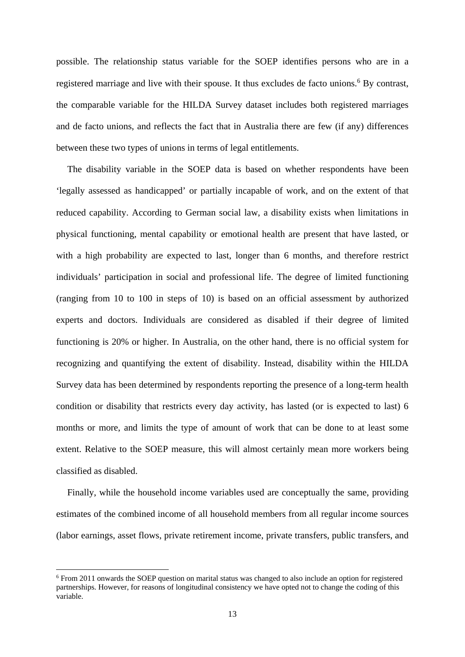possible. The relationship status variable for the SOEP identifies persons who are in a registered marriage and live with their spouse. It thus excludes de facto unions.<sup>6</sup> By contrast, the comparable variable for the HILDA Survey dataset includes both registered marriages and de facto unions, and reflects the fact that in Australia there are few (if any) differences between these two types of unions in terms of legal entitlements.

The disability variable in the SOEP data is based on whether respondents have been 'legally assessed as handicapped' or partially incapable of work, and on the extent of that reduced capability. According to German social law, a disability exists when limitations in physical functioning, mental capability or emotional health are present that have lasted, or with a high probability are expected to last, longer than 6 months, and therefore restrict individuals' participation in social and professional life. The degree of limited functioning (ranging from 10 to 100 in steps of 10) is based on an official assessment by authorized experts and doctors. Individuals are considered as disabled if their degree of limited functioning is 20% or higher. In Australia, on the other hand, there is no official system for recognizing and quantifying the extent of disability. Instead, disability within the HILDA Survey data has been determined by respondents reporting the presence of a long-term health condition or disability that restricts every day activity, has lasted (or is expected to last) 6 months or more, and limits the type of amount of work that can be done to at least some extent. Relative to the SOEP measure, this will almost certainly mean more workers being classified as disabled.

Finally, while the household income variables used are conceptually the same, providing estimates of the combined income of all household members from all regular income sources (labor earnings, asset flows, private retirement income, private transfers, public transfers, and

<sup>&</sup>lt;sup>6</sup> From 2011 onwards the SOEP question on marital status was changed to also include an option for registered partnerships. However, for reasons of longitudinal consistency we have opted not to change the coding of this variable.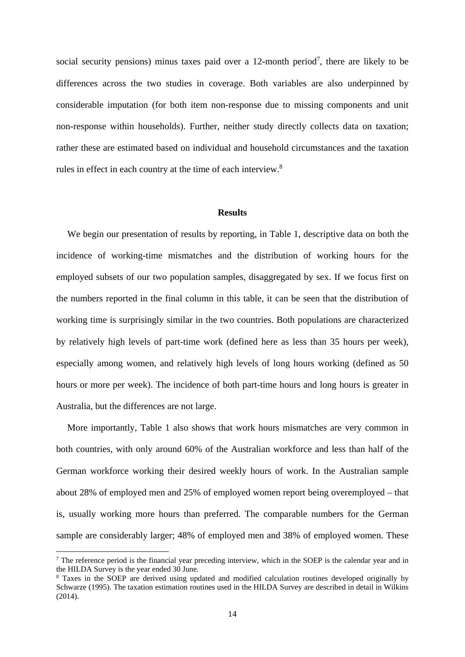social security pensions) minus taxes paid over a  $12$ -month period<sup>7</sup>, there are likely to be differences across the two studies in coverage. Both variables are also underpinned by considerable imputation (for both item non-response due to missing components and unit non-response within households). Further, neither study directly collects data on taxation; rather these are estimated based on individual and household circumstances and the taxation rules in effect in each country at the time of each interview.<sup>8</sup>

#### **Results**

We begin our presentation of results by reporting, in Table 1, descriptive data on both the incidence of working-time mismatches and the distribution of working hours for the employed subsets of our two population samples, disaggregated by sex. If we focus first on the numbers reported in the final column in this table, it can be seen that the distribution of working time is surprisingly similar in the two countries. Both populations are characterized by relatively high levels of part-time work (defined here as less than 35 hours per week), especially among women, and relatively high levels of long hours working (defined as 50 hours or more per week). The incidence of both part-time hours and long hours is greater in Australia, but the differences are not large.

More importantly, Table 1 also shows that work hours mismatches are very common in both countries, with only around 60% of the Australian workforce and less than half of the German workforce working their desired weekly hours of work. In the Australian sample about 28% of employed men and 25% of employed women report being overemployed – that is, usually working more hours than preferred. The comparable numbers for the German sample are considerably larger; 48% of employed men and 38% of employed women. These

<sup>&</sup>lt;sup>7</sup> The reference period is the financial year preceding interview, which in the SOEP is the calendar year and in the HILDA Survey is the year ended 30 June.

<sup>&</sup>lt;sup>8</sup> Taxes in the SOEP are derived using updated and modified calculation routines developed originally by Schwarze (1995). The taxation estimation routines used in the HILDA Survey are described in detail in Wilkins (2014).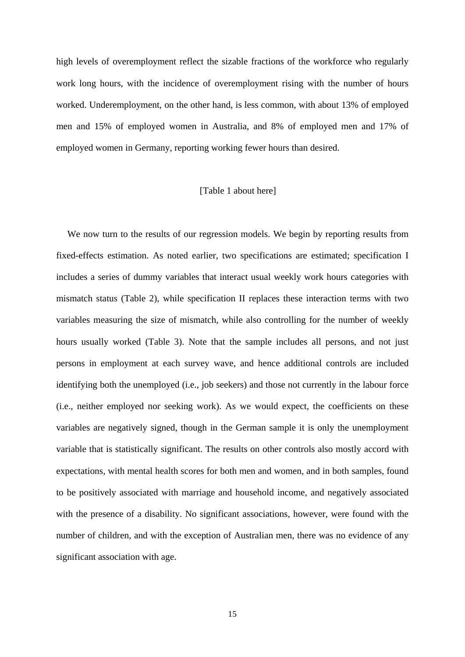high levels of overemployment reflect the sizable fractions of the workforce who regularly work long hours, with the incidence of overemployment rising with the number of hours worked. Underemployment, on the other hand, is less common, with about 13% of employed men and 15% of employed women in Australia, and 8% of employed men and 17% of employed women in Germany, reporting working fewer hours than desired.

#### [Table 1 about here]

We now turn to the results of our regression models. We begin by reporting results from fixed-effects estimation. As noted earlier, two specifications are estimated; specification I includes a series of dummy variables that interact usual weekly work hours categories with mismatch status (Table 2), while specification II replaces these interaction terms with two variables measuring the size of mismatch, while also controlling for the number of weekly hours usually worked (Table 3). Note that the sample includes all persons, and not just persons in employment at each survey wave, and hence additional controls are included identifying both the unemployed (i.e., job seekers) and those not currently in the labour force (i.e., neither employed nor seeking work). As we would expect, the coefficients on these variables are negatively signed, though in the German sample it is only the unemployment variable that is statistically significant. The results on other controls also mostly accord with expectations, with mental health scores for both men and women, and in both samples, found to be positively associated with marriage and household income, and negatively associated with the presence of a disability. No significant associations, however, were found with the number of children, and with the exception of Australian men, there was no evidence of any significant association with age.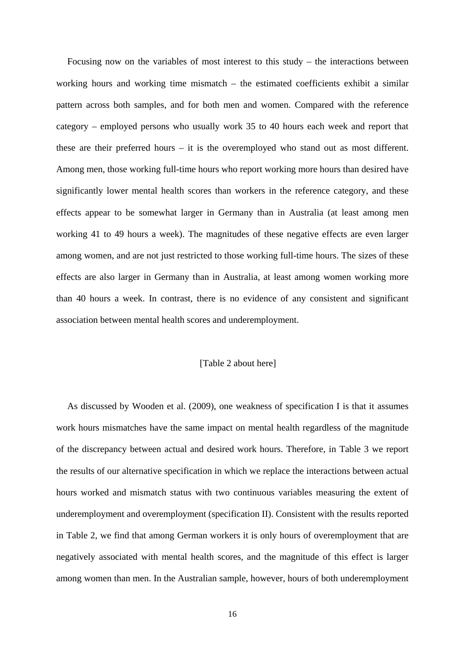Focusing now on the variables of most interest to this study – the interactions between working hours and working time mismatch – the estimated coefficients exhibit a similar pattern across both samples, and for both men and women. Compared with the reference category – employed persons who usually work 35 to 40 hours each week and report that these are their preferred hours – it is the overemployed who stand out as most different. Among men, those working full-time hours who report working more hours than desired have significantly lower mental health scores than workers in the reference category, and these effects appear to be somewhat larger in Germany than in Australia (at least among men working 41 to 49 hours a week). The magnitudes of these negative effects are even larger among women, and are not just restricted to those working full-time hours. The sizes of these effects are also larger in Germany than in Australia, at least among women working more than 40 hours a week. In contrast, there is no evidence of any consistent and significant association between mental health scores and underemployment.

#### [Table 2 about here]

As discussed by Wooden et al. (2009), one weakness of specification I is that it assumes work hours mismatches have the same impact on mental health regardless of the magnitude of the discrepancy between actual and desired work hours. Therefore, in Table 3 we report the results of our alternative specification in which we replace the interactions between actual hours worked and mismatch status with two continuous variables measuring the extent of underemployment and overemployment (specification II). Consistent with the results reported in Table 2, we find that among German workers it is only hours of overemployment that are negatively associated with mental health scores, and the magnitude of this effect is larger among women than men. In the Australian sample, however, hours of both underemployment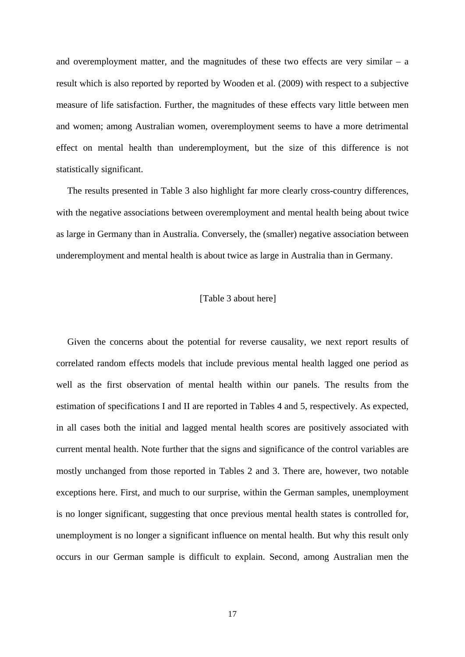and overemployment matter, and the magnitudes of these two effects are very similar – a result which is also reported by reported by Wooden et al. (2009) with respect to a subjective measure of life satisfaction. Further, the magnitudes of these effects vary little between men and women; among Australian women, overemployment seems to have a more detrimental effect on mental health than underemployment, but the size of this difference is not statistically significant.

The results presented in Table 3 also highlight far more clearly cross-country differences, with the negative associations between overemployment and mental health being about twice as large in Germany than in Australia. Conversely, the (smaller) negative association between underemployment and mental health is about twice as large in Australia than in Germany.

#### [Table 3 about here]

Given the concerns about the potential for reverse causality, we next report results of correlated random effects models that include previous mental health lagged one period as well as the first observation of mental health within our panels. The results from the estimation of specifications I and II are reported in Tables 4 and 5, respectively. As expected, in all cases both the initial and lagged mental health scores are positively associated with current mental health. Note further that the signs and significance of the control variables are mostly unchanged from those reported in Tables 2 and 3. There are, however, two notable exceptions here. First, and much to our surprise, within the German samples, unemployment is no longer significant, suggesting that once previous mental health states is controlled for, unemployment is no longer a significant influence on mental health. But why this result only occurs in our German sample is difficult to explain. Second, among Australian men the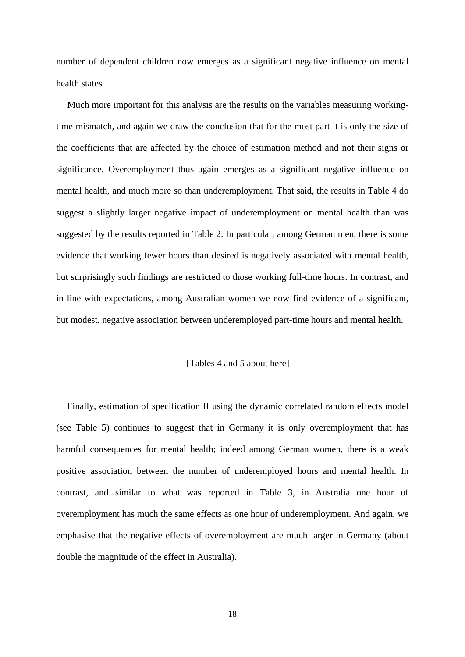number of dependent children now emerges as a significant negative influence on mental health states

Much more important for this analysis are the results on the variables measuring workingtime mismatch, and again we draw the conclusion that for the most part it is only the size of the coefficients that are affected by the choice of estimation method and not their signs or significance. Overemployment thus again emerges as a significant negative influence on mental health, and much more so than underemployment. That said, the results in Table 4 do suggest a slightly larger negative impact of underemployment on mental health than was suggested by the results reported in Table 2. In particular, among German men, there is some evidence that working fewer hours than desired is negatively associated with mental health, but surprisingly such findings are restricted to those working full-time hours. In contrast, and in line with expectations, among Australian women we now find evidence of a significant, but modest, negative association between underemployed part-time hours and mental health.

#### [Tables 4 and 5 about here]

Finally, estimation of specification II using the dynamic correlated random effects model (see Table 5) continues to suggest that in Germany it is only overemployment that has harmful consequences for mental health; indeed among German women, there is a weak positive association between the number of underemployed hours and mental health. In contrast, and similar to what was reported in Table 3, in Australia one hour of overemployment has much the same effects as one hour of underemployment. And again, we emphasise that the negative effects of overemployment are much larger in Germany (about double the magnitude of the effect in Australia).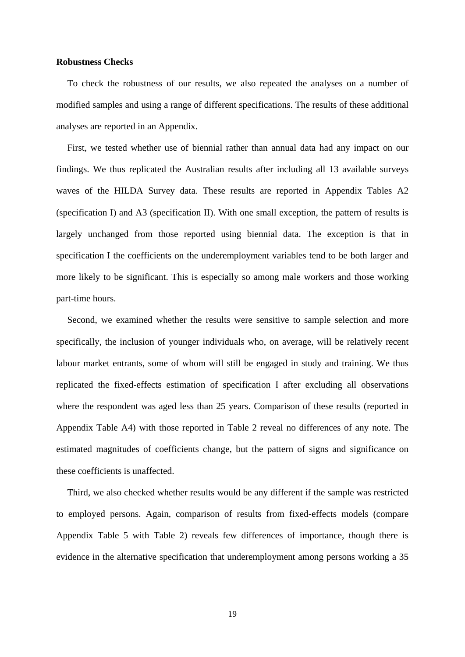#### **Robustness Checks**

To check the robustness of our results, we also repeated the analyses on a number of modified samples and using a range of different specifications. The results of these additional analyses are reported in an Appendix.

First, we tested whether use of biennial rather than annual data had any impact on our findings. We thus replicated the Australian results after including all 13 available surveys waves of the HILDA Survey data. These results are reported in Appendix Tables A2 (specification I) and A3 (specification II). With one small exception, the pattern of results is largely unchanged from those reported using biennial data. The exception is that in specification I the coefficients on the underemployment variables tend to be both larger and more likely to be significant. This is especially so among male workers and those working part-time hours.

Second, we examined whether the results were sensitive to sample selection and more specifically, the inclusion of younger individuals who, on average, will be relatively recent labour market entrants, some of whom will still be engaged in study and training. We thus replicated the fixed-effects estimation of specification I after excluding all observations where the respondent was aged less than 25 years. Comparison of these results (reported in Appendix Table A4) with those reported in Table 2 reveal no differences of any note. The estimated magnitudes of coefficients change, but the pattern of signs and significance on these coefficients is unaffected.

Third, we also checked whether results would be any different if the sample was restricted to employed persons. Again, comparison of results from fixed-effects models (compare Appendix Table 5 with Table 2) reveals few differences of importance, though there is evidence in the alternative specification that underemployment among persons working a 35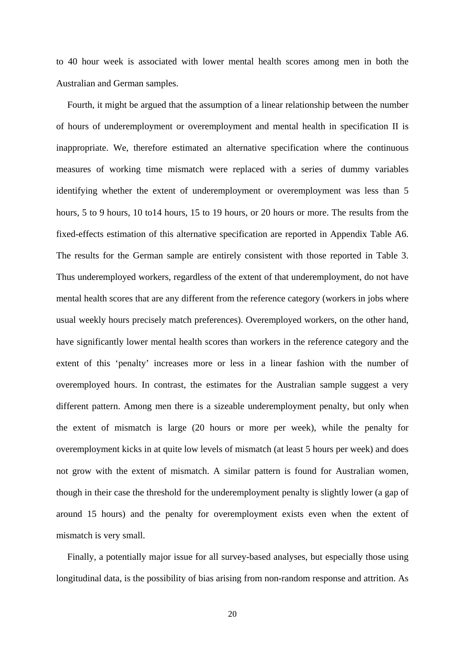to 40 hour week is associated with lower mental health scores among men in both the Australian and German samples.

Fourth, it might be argued that the assumption of a linear relationship between the number of hours of underemployment or overemployment and mental health in specification II is inappropriate. We, therefore estimated an alternative specification where the continuous measures of working time mismatch were replaced with a series of dummy variables identifying whether the extent of underemployment or overemployment was less than 5 hours, 5 to 9 hours, 10 to14 hours, 15 to 19 hours, or 20 hours or more. The results from the fixed-effects estimation of this alternative specification are reported in Appendix Table A6. The results for the German sample are entirely consistent with those reported in Table 3. Thus underemployed workers, regardless of the extent of that underemployment, do not have mental health scores that are any different from the reference category (workers in jobs where usual weekly hours precisely match preferences). Overemployed workers, on the other hand, have significantly lower mental health scores than workers in the reference category and the extent of this 'penalty' increases more or less in a linear fashion with the number of overemployed hours. In contrast, the estimates for the Australian sample suggest a very different pattern. Among men there is a sizeable underemployment penalty, but only when the extent of mismatch is large (20 hours or more per week), while the penalty for overemployment kicks in at quite low levels of mismatch (at least 5 hours per week) and does not grow with the extent of mismatch. A similar pattern is found for Australian women, though in their case the threshold for the underemployment penalty is slightly lower (a gap of around 15 hours) and the penalty for overemployment exists even when the extent of mismatch is very small.

Finally, a potentially major issue for all survey-based analyses, but especially those using longitudinal data, is the possibility of bias arising from non-random response and attrition. As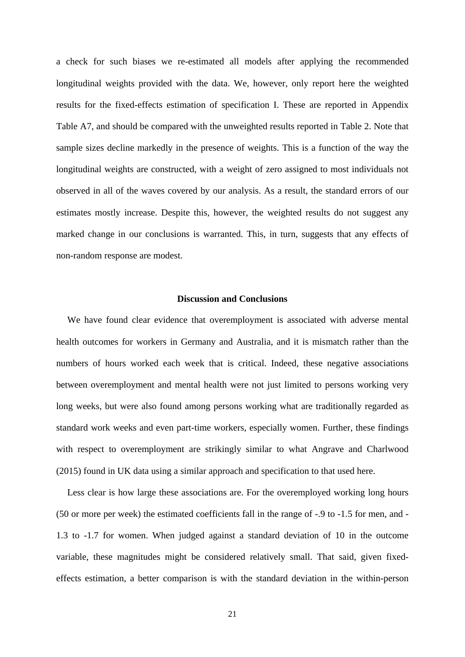a check for such biases we re-estimated all models after applying the recommended longitudinal weights provided with the data. We, however, only report here the weighted results for the fixed-effects estimation of specification I. These are reported in Appendix Table A7, and should be compared with the unweighted results reported in Table 2. Note that sample sizes decline markedly in the presence of weights. This is a function of the way the longitudinal weights are constructed, with a weight of zero assigned to most individuals not observed in all of the waves covered by our analysis. As a result, the standard errors of our estimates mostly increase. Despite this, however, the weighted results do not suggest any marked change in our conclusions is warranted. This, in turn, suggests that any effects of non-random response are modest.

#### **Discussion and Conclusions**

We have found clear evidence that overemployment is associated with adverse mental health outcomes for workers in Germany and Australia, and it is mismatch rather than the numbers of hours worked each week that is critical. Indeed, these negative associations between overemployment and mental health were not just limited to persons working very long weeks, but were also found among persons working what are traditionally regarded as standard work weeks and even part-time workers, especially women. Further, these findings with respect to overemployment are strikingly similar to what Angrave and Charlwood (2015) found in UK data using a similar approach and specification to that used here.

Less clear is how large these associations are. For the overemployed working long hours (50 or more per week) the estimated coefficients fall in the range of -.9 to -1.5 for men, and - 1.3 to -1.7 for women. When judged against a standard deviation of 10 in the outcome variable, these magnitudes might be considered relatively small. That said, given fixedeffects estimation, a better comparison is with the standard deviation in the within-person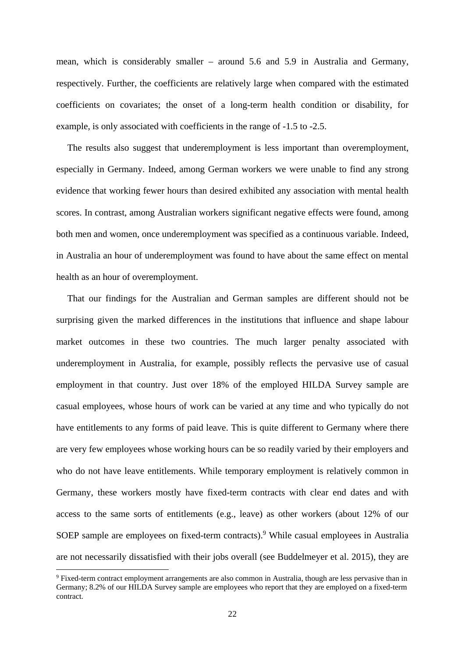mean, which is considerably smaller – around 5.6 and 5.9 in Australia and Germany, respectively. Further, the coefficients are relatively large when compared with the estimated coefficients on covariates; the onset of a long-term health condition or disability, for example, is only associated with coefficients in the range of -1.5 to -2.5.

The results also suggest that underemployment is less important than overemployment, especially in Germany. Indeed, among German workers we were unable to find any strong evidence that working fewer hours than desired exhibited any association with mental health scores. In contrast, among Australian workers significant negative effects were found, among both men and women, once underemployment was specified as a continuous variable. Indeed, in Australia an hour of underemployment was found to have about the same effect on mental health as an hour of overemployment.

That our findings for the Australian and German samples are different should not be surprising given the marked differences in the institutions that influence and shape labour market outcomes in these two countries. The much larger penalty associated with underemployment in Australia, for example, possibly reflects the pervasive use of casual employment in that country. Just over 18% of the employed HILDA Survey sample are casual employees, whose hours of work can be varied at any time and who typically do not have entitlements to any forms of paid leave. This is quite different to Germany where there are very few employees whose working hours can be so readily varied by their employers and who do not have leave entitlements. While temporary employment is relatively common in Germany, these workers mostly have fixed-term contracts with clear end dates and with access to the same sorts of entitlements (e.g., leave) as other workers (about 12% of our SOEP sample are employees on fixed-term contracts).<sup>9</sup> While casual employees in Australia are not necessarily dissatisfied with their jobs overall (see Buddelmeyer et al. 2015), they are

<sup>&</sup>lt;sup>9</sup> Fixed-term contract employment arrangements are also common in Australia, though are less pervasive than in Germany; 8.2% of our HILDA Survey sample are employees who report that they are employed on a fixed-term contract.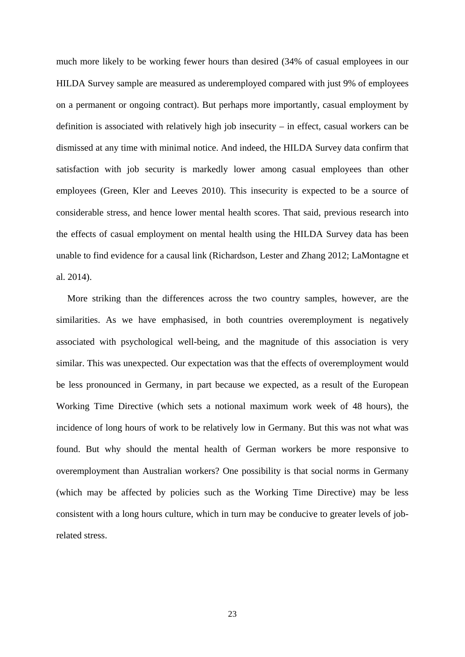much more likely to be working fewer hours than desired (34% of casual employees in our HILDA Survey sample are measured as underemployed compared with just 9% of employees on a permanent or ongoing contract). But perhaps more importantly, casual employment by definition is associated with relatively high job insecurity – in effect, casual workers can be dismissed at any time with minimal notice. And indeed, the HILDA Survey data confirm that satisfaction with job security is markedly lower among casual employees than other employees (Green, Kler and Leeves 2010). This insecurity is expected to be a source of considerable stress, and hence lower mental health scores. That said, previous research into the effects of casual employment on mental health using the HILDA Survey data has been unable to find evidence for a causal link (Richardson, Lester and Zhang 2012; LaMontagne et al. 2014).

More striking than the differences across the two country samples, however, are the similarities. As we have emphasised, in both countries overemployment is negatively associated with psychological well-being, and the magnitude of this association is very similar. This was unexpected. Our expectation was that the effects of overemployment would be less pronounced in Germany, in part because we expected, as a result of the European Working Time Directive (which sets a notional maximum work week of 48 hours), the incidence of long hours of work to be relatively low in Germany. But this was not what was found. But why should the mental health of German workers be more responsive to overemployment than Australian workers? One possibility is that social norms in Germany (which may be affected by policies such as the Working Time Directive) may be less consistent with a long hours culture, which in turn may be conducive to greater levels of jobrelated stress.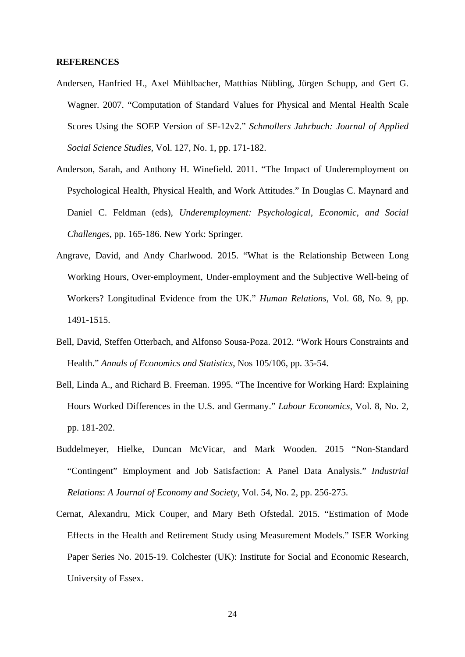#### **REFERENCES**

- Andersen, Hanfried H., Axel Mühlbacher, Matthias Nübling, Jürgen Schupp, and Gert G. Wagner. 2007. "Computation of Standard Values for Physical and Mental Health Scale Scores Using the SOEP Version of SF-12v2." *Schmollers Jahrbuch: Journal of Applied Social Science Studies*, Vol. 127, No. 1, pp. 171-182.
- Anderson, Sarah, and Anthony H. Winefield. 2011. "The Impact of Underemployment on Psychological Health, Physical Health, and Work Attitudes." In Douglas C. Maynard and Daniel C. Feldman (eds), *Underemployment: Psychological, Economic, and Social Challenges*, pp. 165-186. New York: Springer.
- Angrave, David, and Andy Charlwood. 2015. "What is the Relationship Between Long Working Hours, Over-employment, Under-employment and the Subjective Well-being of Workers? Longitudinal Evidence from the UK." *Human Relations*, Vol. 68, No. 9, pp. 1491-1515.
- Bell, David, Steffen Otterbach, and Alfonso Sousa-Poza. 2012. "Work Hours Constraints and Health." *Annals of Economics and Statistics*, Nos 105/106, pp. 35-54.
- Bell, Linda A., and Richard B. Freeman. 1995. "The Incentive for Working Hard: Explaining Hours Worked Differences in the U.S. and Germany." *Labour Economics*, Vol. 8, No. 2, pp. 181-202.
- Buddelmeyer, Hielke, Duncan McVicar, and Mark Wooden. 2015 "Non-Standard "Contingent" Employment and Job Satisfaction: A Panel Data Analysis." *Industrial Relations*: *A Journal of Economy and Society*, Vol. 54, No. 2, pp. 256-275.
- Cernat, Alexandru, Mick Couper, and Mary Beth Ofstedal. 2015. "Estimation of Mode Effects in the Health and Retirement Study using Measurement Models." ISER Working Paper Series No. 2015-19. Colchester (UK): Institute for Social and Economic Research, University of Essex.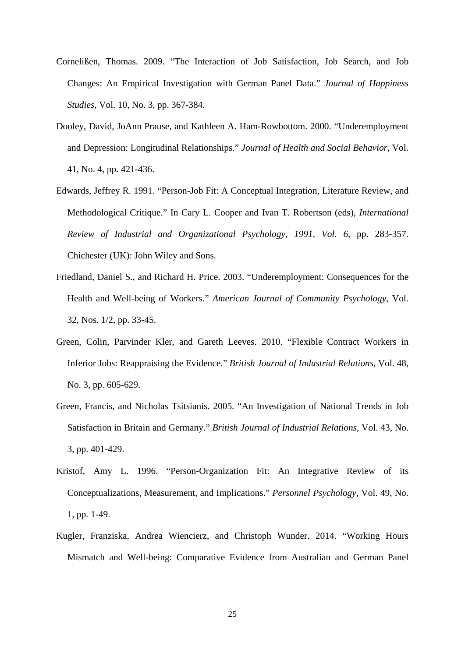- Cornelißen, Thomas. 2009. "The Interaction of Job Satisfaction, Job Search, and Job Changes: An Empirical Investigation with German Panel Data." *Journal of Happiness Studies*, Vol. 10, No. 3, pp. 367-384.
- Dooley, David, JoAnn Prause, and Kathleen A. Ham-Rowbottom. 2000. "Underemployment and Depression: Longitudinal Relationships." *Journal of Health and Social Behavior*, Vol. 41, No. 4, pp. 421-436.
- Edwards, Jeffrey R. 1991. "Person-Job Fit: A Conceptual Integration, Literature Review, and Methodological Critique." In Cary L. Cooper and Ivan T. Robertson (eds), *International Review of Industrial and Organizational Psychology*, *1991, Vol. 6*, pp. 283-357. Chichester (UK): John Wiley and Sons.
- Friedland, Daniel S., and Richard H. Price. 2003. "Underemployment: Consequences for the Health and Well-being of Workers." *American Journal of Community Psychology*, Vol. 32, Nos. 1/2, pp. 33-45.
- Green, Colin, Parvinder Kler, and Gareth Leeves. 2010. "Flexible Contract Workers in Inferior Jobs: Reappraising the Evidence." *British Journal of Industrial Relations*, Vol. 48, No. 3, pp. 605-629.
- Green, Francis, and Nicholas Tsitsianis. 2005. "An Investigation of National Trends in Job Satisfaction in Britain and Germany." *British Journal of Industrial Relations*, Vol. 43, No. 3, pp. 401-429.
- Kristof, Amy L. 1996. "Person‐Organization Fit: An Integrative Review of its Conceptualizations, Measurement, and Implications." *Personnel Psychology*, Vol. 49, No. 1, pp. 1-49.
- Kugler, Franziska, Andrea Wiencierz, and Christoph Wunder. 2014. "Working Hours Mismatch and Well-being: Comparative Evidence from Australian and German Panel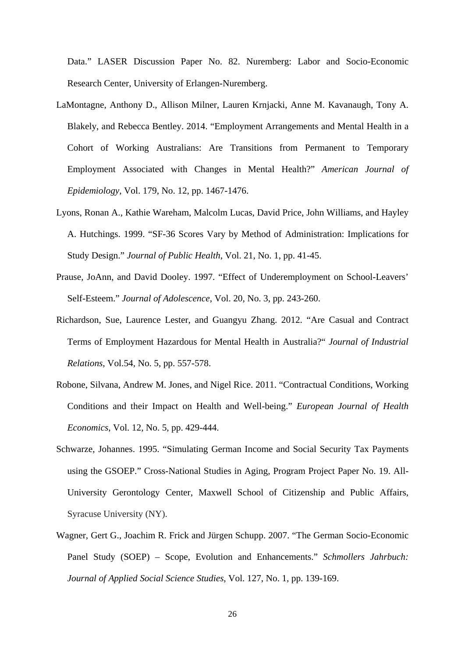Data." LASER Discussion Paper No. 82. Nuremberg: Labor and Socio-Economic Research Center, University of Erlangen-Nuremberg.

- LaMontagne, Anthony D., Allison Milner, Lauren Krnjacki, Anne M. Kavanaugh, Tony A. Blakely, and Rebecca Bentley. 2014. "Employment Arrangements and Mental Health in a Cohort of Working Australians: Are Transitions from Permanent to Temporary Employment Associated with Changes in Mental Health?" *American Journal of Epidemiology*, Vol. 179, No. 12, pp. 1467-1476.
- Lyons, Ronan A., Kathie Wareham, Malcolm Lucas, David Price, John Williams, and Hayley A. Hutchings. 1999. "SF-36 Scores Vary by Method of Administration: Implications for Study Design." *Journal of Public Health*, Vol. 21, No. 1, pp. 41-45.
- Prause, JoAnn, and David Dooley. 1997. "Effect of Underemployment on School-Leavers' Self-Esteem." *Journal of Adolescence*, Vol. 20, No. 3, pp. 243-260.
- Richardson, Sue, Laurence Lester, and Guangyu Zhang. 2012. "Are Casual and Contract Terms of Employment Hazardous for Mental Health in Australia?" *Journal of Industrial Relations*, Vol.54, No. 5, pp. 557-578.
- Robone, Silvana, Andrew M. Jones, and Nigel Rice. 2011. "Contractual Conditions, Working Conditions and their Impact on Health and Well-being." *European Journal of Health Economics*, Vol. 12, No. 5, pp. 429-444.
- Schwarze, Johannes. 1995. "Simulating German Income and Social Security Tax Payments using the GSOEP." Cross-National Studies in Aging, Program Project Paper No. 19. All-University Gerontology Center, Maxwell School of Citizenship and Public Affairs, Syracuse University (NY).
- Wagner, Gert G., Joachim R. Frick and Jürgen Schupp. 2007. "The German Socio-Economic Panel Study (SOEP) – Scope, Evolution and Enhancements." *Schmollers Jahrbuch: Journal of Applied Social Science Studies*, Vol. 127, No. 1, pp. 139-169.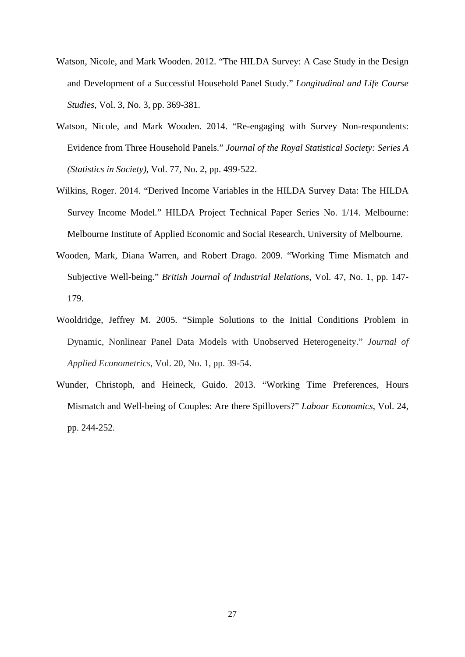- Watson, Nicole, and Mark Wooden. 2012. "The HILDA Survey: A Case Study in the Design and Development of a Successful Household Panel Study." *Longitudinal and Life Course Studies*, Vol. 3, No. 3, pp. 369-381.
- Watson, Nicole, and Mark Wooden. 2014. "Re-engaging with Survey Non-respondents: Evidence from Three Household Panels." *Journal of the Royal Statistical Society: Series A (Statistics in Society)*, Vol. 77, No. 2, pp. 499-522.
- Wilkins, Roger. 2014. "Derived Income Variables in the HILDA Survey Data: The HILDA Survey Income Model." HILDA Project Technical Paper Series No. 1/14. Melbourne: Melbourne Institute of Applied Economic and Social Research, University of Melbourne.
- Wooden, Mark, Diana Warren, and Robert Drago. 2009. "Working Time Mismatch and Subjective Well-being." *British Journal of Industrial Relations*, Vol. 47, No. 1, pp. 147- 179.
- Wooldridge, Jeffrey M. 2005. "Simple Solutions to the Initial Conditions Problem in Dynamic, Nonlinear Panel Data Models with Unobserved Heterogeneity." *Journal of Applied Econometrics*, Vol. 20, No. 1, pp. 39-54.
- Wunder, Christoph, and Heineck, Guido. 2013. "Working Time Preferences, Hours Mismatch and Well-being of Couples: Are there Spillovers?" *Labour Economics*, Vol. 24, pp. 244-252.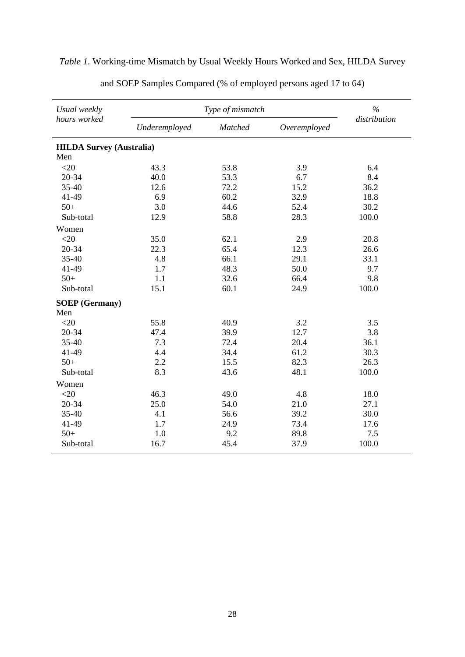| Usual weekly                    |               | Type of mismatch |              | $\frac{0}{0}$ |
|---------------------------------|---------------|------------------|--------------|---------------|
| hours worked                    | Underemployed | Matched          | Overemployed | distribution  |
| <b>HILDA Survey (Australia)</b> |               |                  |              |               |
| Men                             |               |                  |              |               |
| $<$ 20                          | 43.3          | 53.8             | 3.9          | 6.4           |
| 20-34                           | 40.0          | 53.3             | 6.7          | 8.4           |
| 35-40                           | 12.6          | 72.2             | 15.2         | 36.2          |
| 41-49                           | 6.9           | 60.2             | 32.9         | 18.8          |
| $50+$                           | 3.0           | 44.6             | 52.4         | 30.2          |
| Sub-total                       | 12.9          | 58.8             | 28.3         | 100.0         |
| Women                           |               |                  |              |               |
| $<$ 20                          | 35.0          | 62.1             | 2.9          | 20.8          |
| 20-34                           | 22.3          | 65.4             | 12.3         | 26.6          |
| 35-40                           | 4.8           | 66.1             | 29.1         | 33.1          |
| 41-49                           | 1.7           | 48.3             | 50.0         | 9.7           |
| $50+$                           | 1.1           | 32.6             | 66.4         | 9.8           |
| Sub-total                       | 15.1          | 60.1             | 24.9         | 100.0         |
| <b>SOEP</b> (Germany)           |               |                  |              |               |
| Men                             |               |                  |              |               |
| $<$ 20                          | 55.8          | 40.9             | 3.2          | 3.5           |
| 20-34                           | 47.4          | 39.9             | 12.7         | 3.8           |
| 35-40                           | 7.3           | 72.4             | 20.4         | 36.1          |
| 41-49                           | 4.4           | 34.4             | 61.2         | 30.3          |
| $50+$                           | 2.2           | 15.5             | 82.3         | 26.3          |
| Sub-total                       | 8.3           | 43.6             | 48.1         | 100.0         |
| Women                           |               |                  |              |               |
| $<$ 20                          | 46.3          | 49.0             | 4.8          | 18.0          |
| 20-34                           | 25.0          | 54.0             | 21.0         | 27.1          |
| 35-40                           | 4.1           | 56.6             | 39.2         | 30.0          |
| 41-49                           | 1.7           | 24.9             | 73.4         | 17.6          |
| $50+$                           | 1.0           | 9.2              | 89.8         | 7.5           |
| Sub-total                       | 16.7          | 45.4             | 37.9         | 100.0         |

### *Table 1*. Working-time Mismatch by Usual Weekly Hours Worked and Sex, HILDA Survey

and SOEP Samples Compared (% of employed persons aged 17 to 64)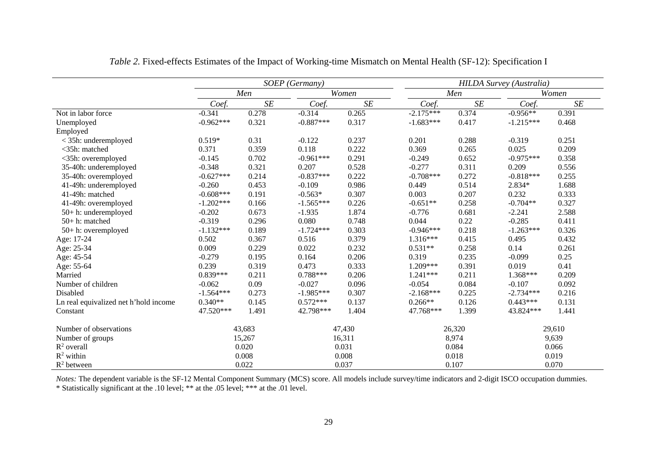|                                       |             | SOEP (Germany) |             |           |             |        | <b>HILDA Survey (Australia)</b> |           |
|---------------------------------------|-------------|----------------|-------------|-----------|-------------|--------|---------------------------------|-----------|
|                                       |             | Men            |             | Women     |             | Men    |                                 | Women     |
|                                       | Coef.       | SE             | Coef.       | $\cal SE$ | Coef.       | SE     | Coef.                           | $\cal SE$ |
| Not in labor force                    | $-0.341$    | 0.278          | $-0.314$    | 0.265     | $-2.175***$ | 0.374  | $-0.956**$                      | 0.391     |
| Unemployed                            | $-0.962***$ | 0.321          | $-0.887***$ | 0.317     | $-1.683***$ | 0.417  | $-1.215***$                     | 0.468     |
| Employed                              |             |                |             |           |             |        |                                 |           |
| $<$ 35h: underemployed                | $0.519*$    | 0.31           | $-0.122$    | 0.237     | 0.201       | 0.288  | $-0.319$                        | 0.251     |
| <35h: matched                         | 0.371       | 0.359          | 0.118       | 0.222     | 0.369       | 0.265  | 0.025                           | 0.209     |
| <35h: overemployed                    | $-0.145$    | 0.702          | $-0.961***$ | 0.291     | $-0.249$    | 0.652  | $-0.975***$                     | 0.358     |
| 35-40h: underemployed                 | $-0.348$    | 0.321          | 0.207       | 0.528     | $-0.277$    | 0.311  | 0.209                           | 0.556     |
| 35-40h: overemployed                  | $-0.627***$ | 0.214          | $-0.837***$ | 0.222     | $-0.708***$ | 0.272  | $-0.818***$                     | 0.255     |
| 41-49h: underemployed                 | $-0.260$    | 0.453          | $-0.109$    | 0.986     | 0.449       | 0.514  | 2.834*                          | 1.688     |
| 41-49h: matched                       | $-0.608***$ | 0.191          | $-0.563*$   | 0.307     | 0.003       | 0.207  | 0.232                           | 0.333     |
| 41-49h: overemployed                  | $-1.202***$ | 0.166          | $-1.565***$ | 0.226     | $-0.651**$  | 0.258  | $-0.704**$                      | 0.327     |
| 50+ h: underemployed                  | $-0.202$    | 0.673          | $-1.935$    | 1.874     | $-0.776$    | 0.681  | $-2.241$                        | 2.588     |
| 50+h: matched                         | $-0.319$    | 0.296          | 0.080       | 0.748     | 0.044       | 0.22   | $-0.285$                        | 0.411     |
| 50+ h: overemployed                   | $-1.132***$ | 0.189          | $-1.724***$ | 0.303     | $-0.946***$ | 0.218  | $-1.263***$                     | 0.326     |
| Age: 17-24                            | 0.502       | 0.367          | 0.516       | 0.379     | $1.316***$  | 0.415  | 0.495                           | 0.432     |
| Age: 25-34                            | 0.009       | 0.229          | 0.022       | 0.232     | $0.531**$   | 0.258  | 0.14                            | 0.261     |
| Age: 45-54                            | $-0.279$    | 0.195          | 0.164       | 0.206     | 0.319       | 0.235  | $-0.099$                        | 0.25      |
| Age: 55-64                            | 0.239       | 0.319          | 0.473       | 0.333     | $1.209***$  | 0.391  | 0.019                           | 0.41      |
| Married                               | $0.839***$  | 0.211          | $0.788***$  | 0.206     | $1.241***$  | 0.211  | 1.368***                        | 0.209     |
| Number of children                    | $-0.062$    | 0.09           | $-0.027$    | 0.096     | $-0.054$    | 0.084  | $-0.107$                        | 0.092     |
| Disabled                              | $-1.564***$ | 0.273          | $-1.985***$ | 0.307     | $-2.168***$ | 0.225  | $-2.734***$                     | 0.216     |
| Ln real equivalized net h'hold income | $0.340**$   | 0.145          | $0.572***$  | 0.137     | $0.266**$   | 0.126  | $0.443***$                      | 0.131     |
| Constant                              | 47.520***   | 1.491          | 42.798***   | 1.404     | 47.768***   | 1.399  | 43.824***                       | 1.441     |
| Number of observations                |             | 43,683         |             | 47,430    |             | 26,320 |                                 | 29,610    |
| Number of groups                      |             | 15,267         |             | 16,311    |             | 8,974  |                                 | 9,639     |
| $R^2$ overall                         |             | 0.020          |             | 0.031     |             | 0.084  |                                 | 0.066     |
| $R^2$ within                          |             | 0.008          |             | 0.008     |             | 0.018  |                                 | 0.019     |
| $R^2$ between                         |             | 0.022          |             | 0.037     |             | 0.107  |                                 | 0.070     |

*Table 2.* Fixed-effects Estimates of the Impact of Working-time Mismatch on Mental Health (SF-12): Specification I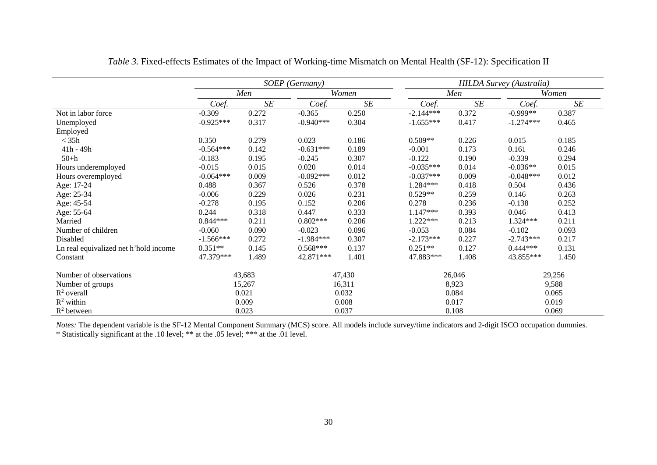|                                       |             | SOEP (Germany) |             |           |             | <b>HILDA Survey (Australia)</b> |             |        |  |  |
|---------------------------------------|-------------|----------------|-------------|-----------|-------------|---------------------------------|-------------|--------|--|--|
|                                       |             | Men            |             | Women     |             | Men                             |             | Women  |  |  |
|                                       | Coef.       | SE             | Coef.       | <b>SE</b> | Coef.       | <b>SE</b>                       | Coef.       | SE     |  |  |
| Not in labor force                    | $-0.309$    | 0.272          | $-0.365$    | 0.250     | $-2.144***$ | 0.372                           | $-0.999**$  | 0.387  |  |  |
| Unemployed                            | $-0.925***$ | 0.317          | $-0.940***$ | 0.304     | $-1.655***$ | 0.417                           | $-1.274***$ | 0.465  |  |  |
| Employed                              |             |                |             |           |             |                                 |             |        |  |  |
| $<$ 35h                               | 0.350       | 0.279          | 0.023       | 0.186     | $0.509**$   | 0.226                           | 0.015       | 0.185  |  |  |
| $41h - 49h$                           | $-0.564***$ | 0.142          | $-0.631***$ | 0.189     | $-0.001$    | 0.173                           | 0.161       | 0.246  |  |  |
| $50+h$                                | $-0.183$    | 0.195          | $-0.245$    | 0.307     | $-0.122$    | 0.190                           | $-0.339$    | 0.294  |  |  |
| Hours underemployed                   | $-0.015$    | 0.015          | 0.020       | 0.014     | $-0.035***$ | 0.014                           | $-0.036**$  | 0.015  |  |  |
| Hours overemployed                    | $-0.064***$ | 0.009          | $-0.092***$ | 0.012     | $-0.037***$ | 0.009                           | $-0.048***$ | 0.012  |  |  |
| Age: 17-24                            | 0.488       | 0.367          | 0.526       | 0.378     | 1.284***    | 0.418                           | 0.504       | 0.436  |  |  |
| Age: 25-34                            | $-0.006$    | 0.229          | 0.026       | 0.231     | $0.529**$   | 0.259                           | 0.146       | 0.263  |  |  |
| Age: 45-54                            | $-0.278$    | 0.195          | 0.152       | 0.206     | 0.278       | 0.236                           | $-0.138$    | 0.252  |  |  |
| Age: 55-64                            | 0.244       | 0.318          | 0.447       | 0.333     | $1.147***$  | 0.393                           | 0.046       | 0.413  |  |  |
| Married                               | $0.844***$  | 0.211          | $0.802***$  | 0.206     | 1.222***    | 0.213                           | 1.324 ***   | 0.211  |  |  |
| Number of children                    | $-0.060$    | 0.090          | $-0.023$    | 0.096     | $-0.053$    | 0.084                           | $-0.102$    | 0.093  |  |  |
| Disabled                              | $-1.566***$ | 0.272          | $-1.984***$ | 0.307     | $-2.173***$ | 0.227                           | $-2.743***$ | 0.217  |  |  |
| Ln real equivalized net h'hold income | $0.351**$   | 0.145          | $0.568***$  | 0.137     | $0.251**$   | 0.127                           | $0.444***$  | 0.131  |  |  |
| Constant                              | 47.379***   | 1.489          | 42.871***   | 1.401     | 47.883***   | 1.408                           | 43.855***   | 1.450  |  |  |
| Number of observations                |             | 43,683         |             | 47,430    |             | 26,046                          |             | 29,256 |  |  |
| Number of groups                      |             | 15,267         |             | 16,311    |             | 8,923                           |             | 9,588  |  |  |
| $R^2$ overall                         |             | 0.021          |             | 0.032     |             | 0.084                           |             | 0.065  |  |  |
| $R^2$ within                          |             | 0.009          |             | 0.008     |             | 0.017                           |             | 0.019  |  |  |
| $R^2$ between                         |             | 0.023          |             | 0.037     |             | 0.108                           |             | 0.069  |  |  |

*Table 3.* Fixed-effects Estimates of the Impact of Working-time Mismatch on Mental Health (SF-12): Specification II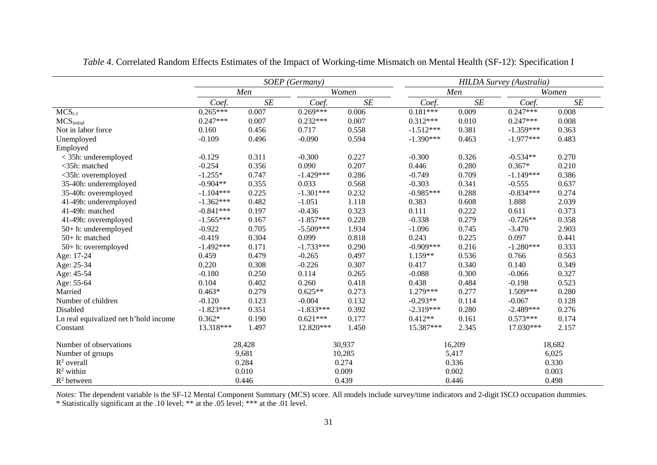|                                       | SOEP (Germany) |        |             |           | <b>HILDA Survey (Australia)</b> |        |             |        |  |  |
|---------------------------------------|----------------|--------|-------------|-----------|---------------------------------|--------|-------------|--------|--|--|
|                                       |                | Men    |             | Women     |                                 | Men    |             | Women  |  |  |
|                                       | Coef.          | SE     | Coef.       | $\cal SE$ | Coef.                           | SE     | Coef.       | SE     |  |  |
| $MCS_{t-1}$                           | $0.265***$     | 0.007  | $0.269***$  | 0.006     | $0.181***$                      | 0.009  | $0.247***$  | 0.008  |  |  |
| MCS <sub>initial</sub>                | $0.247***$     | 0.007  | $0.232***$  | 0.007     | $0.312***$                      | 0.010  | $0.247***$  | 0.008  |  |  |
| Not in labor force                    | 0.160          | 0.456  | 0.717       | 0.558     | $-1.512***$                     | 0.381  | $-1.359***$ | 0.363  |  |  |
| Unemployed                            | $-0.109$       | 0.496  | $-0.090$    | 0.594     | $-1.390***$                     | 0.463  | $-1.977***$ | 0.483  |  |  |
| Employed                              |                |        |             |           |                                 |        |             |        |  |  |
| < 35h: underemployed                  | $-0.129$       | 0.311  | $-0.300$    | 0.227     | $-0.300$                        | 0.326  | $-0.534**$  | 0.270  |  |  |
| <35h: matched                         | $-0.254$       | 0.356  | 0.090       | 0.207     | 0.446                           | 0.280  | $0.367*$    | 0.210  |  |  |
| <35h: overemployed                    | $-1.255*$      | 0.747  | $-1.429***$ | 0.286     | $-0.749$                        | 0.709  | $-1.149***$ | 0.386  |  |  |
| 35-40h: underemployed                 | $-0.904**$     | 0.355  | 0.033       | 0.568     | $-0.303$                        | 0.341  | $-0.555$    | 0.637  |  |  |
| 35-40h: overemployed                  | $-1.104***$    | 0.225  | $-1.301***$ | 0.232     | $-0.985***$                     | 0.288  | $-0.834***$ | 0.274  |  |  |
| 41-49h: underemployed                 | $-1.362***$    | 0.482  | $-1.051$    | 1.118     | 0.383                           | 0.608  | 1.888       | 2.039  |  |  |
| 41-49h: matched                       | $-0.841***$    | 0.197  | $-0.436$    | 0.323     | 0.111                           | 0.222  | 0.611       | 0.373  |  |  |
| 41-49h: overemployed                  | $-1.565***$    | 0.167  | $-1.857***$ | 0.228     | $-0.338$                        | 0.279  | $-0.726**$  | 0.358  |  |  |
| 50+ h: underemployed                  | $-0.922$       | 0.705  | $-5.509***$ | 1.934     | $-1.096$                        | 0.745  | $-3.470$    | 2.903  |  |  |
| 50+h: matched                         | $-0.419$       | 0.304  | 0.099       | 0.818     | 0.243                           | 0.225  | 0.097       | 0.441  |  |  |
| 50+ h: overemployed                   | $-1.492***$    | 0.171  | $-1.733***$ | 0.290     | $-0.909***$                     | 0.216  | $-1.280***$ | 0.333  |  |  |
| Age: 17-24                            | 0.459          | 0.479  | $-0.265$    | 0.497     | 1.159**                         | 0.536  | 0.766       | 0.563  |  |  |
| Age: 25-34                            | 0.220          | 0.308  | $-0.226$    | 0.307     | 0.417                           | 0.340  | 0.140       | 0.349  |  |  |
| Age: 45-54                            | $-0.180$       | 0.250  | 0.114       | 0.265     | $-0.088$                        | 0.300  | $-0.066$    | 0.327  |  |  |
| Age: 55-64                            | 0.104          | 0.402  | 0.260       | 0.418     | 0.438                           | 0.484  | $-0.198$    | 0.523  |  |  |
| Married                               | $0.463*$       | 0.279  | $0.625**$   | 0.273     | $1.279***$                      | 0.277  | 1.509***    | 0.280  |  |  |
| Number of children                    | $-0.120$       | 0.123  | $-0.004$    | 0.132     | $-0.293**$                      | 0.114  | $-0.067$    | 0.128  |  |  |
| Disabled                              | $-1.823***$    | 0.351  | $-1.833***$ | 0.392     | $-2.319***$                     | 0.280  | $-2.489***$ | 0.276  |  |  |
| Ln real equivalized net h'hold income | $0.362*$       | 0.190  | $0.621***$  | 0.177     | $0.412**$                       | 0.161  | $0.573***$  | 0.174  |  |  |
| Constant                              | 13.318***      | 1.497  | 12.820***   | 1.450     | 15.387***                       | 2.345  | 17.030***   | 2.157  |  |  |
| Number of observations                |                | 28,428 |             | 30,937    |                                 | 16,209 |             | 18,682 |  |  |
| Number of groups                      |                | 9,681  |             | 10,285    |                                 | 5,417  |             | 6,025  |  |  |
| $R^2$ overall                         |                | 0.284  |             | 0.274     |                                 | 0.336  |             | 0.330  |  |  |
| $R^2$ within                          |                | 0.010  |             | 0.009     |                                 | 0.002  |             | 0.003  |  |  |
| $R^2$ between                         |                | 0.446  |             | 0.439     |                                 | 0.446  |             | 0.498  |  |  |

*Table 4.* Correlated Random Effects Estimates of the Impact of Working-time Mismatch on Mental Health (SF-12): Specification I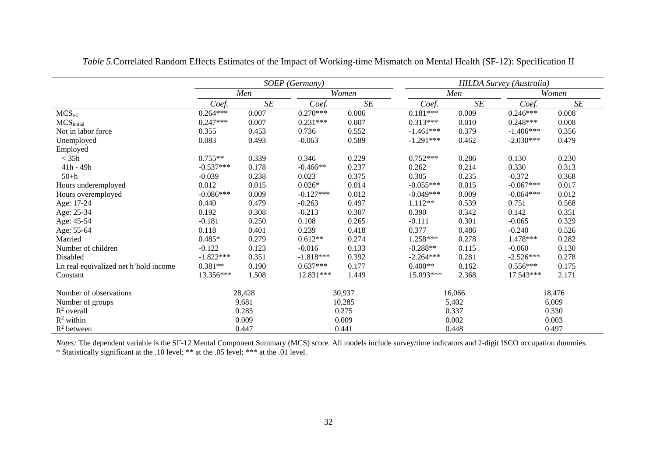|                                       |             |        | SOEP (Germany) |        | <b>HILDA Survey (Australia)</b> |                      |             |        |  |
|---------------------------------------|-------------|--------|----------------|--------|---------------------------------|----------------------|-------------|--------|--|
|                                       |             | Men    |                | Women  |                                 | Men                  |             | Women  |  |
|                                       | Coef.       | SE     | Coef.          | SE     | Coef.                           | $S\hspace{-0.08em}E$ | Coef.       | SE     |  |
| $MCS_{t-1}$                           | $0.264***$  | 0.007  | $0.270***$     | 0.006  | $0.181***$                      | 0.009                | $0.246***$  | 0.008  |  |
| MCS <sub>initial</sub>                | $0.247***$  | 0.007  | $0.231***$     | 0.007  | $0.313***$                      | 0.010                | $0.248***$  | 0.008  |  |
| Not in labor force                    | 0.355       | 0.453  | 0.736          | 0.552  | $-1.461***$                     | 0.379                | $-1.406***$ | 0.356  |  |
| Unemployed                            | 0.083       | 0.493  | $-0.063$       | 0.589  | $-1.291***$                     | 0.462                | $-2.030***$ | 0.479  |  |
| Employed                              |             |        |                |        |                                 |                      |             |        |  |
| $<$ 35h                               | $0.755**$   | 0.339  | 0.346          | 0.229  | $0.752***$                      | 0.286                | 0.130       | 0.230  |  |
| $41h - 49h$                           | $-0.537***$ | 0.178  | $-0.466**$     | 0.237  | 0.262                           | 0.214                | 0.330       | 0.313  |  |
| $50+h$                                | $-0.039$    | 0.238  | 0.023          | 0.375  | 0.305                           | 0.235                | $-0.372$    | 0.368  |  |
| Hours underemployed                   | 0.012       | 0.015  | $0.026*$       | 0.014  | $-0.055***$                     | 0.015                | $-0.067***$ | 0.017  |  |
| Hours overemployed                    | $-0.086***$ | 0.009  | $-0.127***$    | 0.012  | $-0.049***$                     | 0.009                | $-0.064***$ | 0.012  |  |
| Age: 17-24                            | 0.440       | 0.479  | $-0.263$       | 0.497  | $1.112**$                       | 0.539                | 0.751       | 0.568  |  |
| Age: 25-34                            | 0.192       | 0.308  | $-0.213$       | 0.307  | 0.390                           | 0.342                | 0.142       | 0.351  |  |
| Age: 45-54                            | $-0.181$    | 0.250  | 0.108          | 0.265  | $-0.111$                        | 0.301                | $-0.065$    | 0.329  |  |
| Age: 55-64                            | 0.118       | 0.401  | 0.239          | 0.418  | 0.377                           | 0.486                | $-0.240$    | 0.526  |  |
| Married                               | $0.485*$    | 0.279  | $0.612**$      | 0.274  | 1.258***                        | 0.278                | $1.478***$  | 0.282  |  |
| Number of children                    | $-0.122$    | 0.123  | $-0.016$       | 0.133  | $-0.288**$                      | 0.115                | $-0.060$    | 0.130  |  |
| Disabled                              | $-1.822***$ | 0.351  | $-1.818***$    | 0.392  | $-2.264***$                     | 0.281                | $-2.526***$ | 0.278  |  |
| Ln real equivalized net h'hold income | $0.381**$   | 0.190  | $0.637***$     | 0.177  | $0.400**$                       | 0.162                | $0.556***$  | 0.175  |  |
| Constant                              | 13.356***   | 1.508  | 12.831***      | 1.449  | 15.093***                       | 2.368                | 17.543***   | 2.171  |  |
| Number of observations                |             | 28,428 |                | 30,937 |                                 | 16,066               |             | 18,476 |  |
| Number of groups                      |             | 9,681  |                | 10,285 |                                 | 5,402                |             | 6,009  |  |
| $R^2$ overall                         |             | 0.285  |                | 0.275  |                                 | 0.337                |             | 0.330  |  |
| $R^2$ within                          |             | 0.009  |                | 0.009  |                                 | 0.002                |             | 0.003  |  |
| $R^2$ between                         |             | 0.447  |                | 0.441  |                                 | 0.448                |             | 0.497  |  |

*Table 5.*Correlated Random Effects Estimates of the Impact of Working-time Mismatch on Mental Health (SF-12): Specification II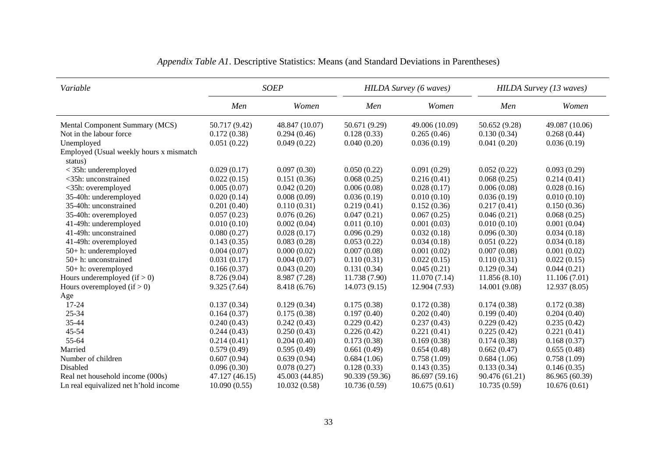| Variable                                           | <b>SOEP</b>    |                |                | <b>HILDA Survey</b> (6 waves) |                | HILDA Survey (13 waves) |
|----------------------------------------------------|----------------|----------------|----------------|-------------------------------|----------------|-------------------------|
|                                                    | Men            | Women          | Men            | Women                         | Men            | Women                   |
| Mental Component Summary (MCS)                     | 50.717 (9.42)  | 48.847 (10.07) | 50.671 (9.29)  | 49.006 (10.09)                | 50.652 (9.28)  | 49.087 (10.06)          |
| Not in the labour force.                           | 0.172(0.38)    | 0.294(0.46)    | 0.128(0.33)    | 0.265(0.46)                   | 0.130(0.34)    | 0.268(0.44)             |
| Unemployed                                         | 0.051(0.22)    | 0.049(0.22)    | 0.040(0.20)    | 0.036(0.19)                   | 0.041(0.20)    | 0.036(0.19)             |
| Employed (Usual weekly hours x mismatch<br>status) |                |                |                |                               |                |                         |
| < 35h: underemployed                               | 0.029(0.17)    | 0.097(0.30)    | 0.050(0.22)    | 0.091(0.29)                   | 0.052(0.22)    | 0.093(0.29)             |
| <35h: unconstrained                                | 0.022(0.15)    | 0.151(0.36)    | 0.068(0.25)    | 0.216(0.41)                   | 0.068(0.25)    | 0.214(0.41)             |
| <35h: overemployed                                 | 0.005(0.07)    | 0.042(0.20)    | 0.006(0.08)    | 0.028(0.17)                   | 0.006(0.08)    | 0.028(0.16)             |
| 35-40h: underemployed                              | 0.020(0.14)    | 0.008(0.09)    | 0.036(0.19)    | 0.010(0.10)                   | 0.036(0.19)    | 0.010(0.10)             |
| 35-40h: unconstrained                              | 0.201(0.40)    | 0.110(0.31)    | 0.219(0.41)    | 0.152(0.36)                   | 0.217(0.41)    | 0.150(0.36)             |
| 35-40h: overemployed                               | 0.057(0.23)    | 0.076(0.26)    | 0.047(0.21)    | 0.067(0.25)                   | 0.046(0.21)    | 0.068(0.25)             |
| 41-49h: underemployed                              | 0.010(0.10)    | 0.002(0.04)    | 0.011(0.10)    | 0.001(0.03)                   | 0.010(0.10)    | 0.001(0.04)             |
| 41-49h: unconstrained                              | 0.080(0.27)    | 0.028(0.17)    | 0.096(0.29)    | 0.032(0.18)                   | 0.096(0.30)    | 0.034(0.18)             |
| 41-49h: overemployed                               | 0.143(0.35)    | 0.083(0.28)    | 0.053(0.22)    | 0.034(0.18)                   | 0.051(0.22)    | 0.034(0.18)             |
| 50+ h: underemployed                               | 0.004(0.07)    | 0.000(0.02)    | 0.007(0.08)    | 0.001(0.02)                   | 0.007(0.08)    | 0.001(0.02)             |
| 50+ h: unconstrained                               | 0.031(0.17)    | 0.004(0.07)    | 0.110(0.31)    | 0.022(0.15)                   | 0.110(0.31)    | 0.022(0.15)             |
| 50+ h: overemployed                                | 0.166(0.37)    | 0.043(0.20)    | 0.131(0.34)    | 0.045(0.21)                   | 0.129(0.34)    | 0.044(0.21)             |
| Hours underemployed $(if > 0)$                     | 8.726 (9.04)   | 8.987 (7.28)   | 11.738 (7.90)  | 11.070(7.14)                  | 11.856(8.10)   | 11.106(7.01)            |
| Hours overemployed $(if > 0)$                      | 9.325(7.64)    | 8.418 (6.76)   | 14.073 (9.15)  | 12.904 (7.93)                 | 14.001 (9.08)  | 12.937(8.05)            |
| Age                                                |                |                |                |                               |                |                         |
| 17-24                                              | 0.137(0.34)    | 0.129(0.34)    | 0.175(0.38)    | 0.172(0.38)                   | 0.174(0.38)    | 0.172(0.38)             |
| 25-34                                              | 0.164(0.37)    | 0.175(0.38)    | 0.197(0.40)    | 0.202(0.40)                   | 0.199(0.40)    | 0.204(0.40)             |
| 35-44                                              | 0.240(0.43)    | 0.242(0.43)    | 0.229(0.42)    | 0.237(0.43)                   | 0.229(0.42)    | 0.235(0.42)             |
| 45-54                                              | 0.244(0.43)    | 0.250(0.43)    | 0.226(0.42)    | 0.221(0.41)                   | 0.225(0.42)    | 0.221(0.41)             |
| 55-64                                              | 0.214(0.41)    | 0.204(0.40)    | 0.173(0.38)    | 0.169(0.38)                   | 0.174(0.38)    | 0.168(0.37)             |
| Married                                            | 0.579(0.49)    | 0.595(0.49)    | 0.661(0.49)    | 0.654(0.48)                   | 0.662(0.47)    | 0.655(0.48)             |
| Number of children                                 | 0.607(0.94)    | 0.639(0.94)    | 0.684(1.06)    | 0.758(1.09)                   | 0.684(1.06)    | 0.758(1.09)             |
| Disabled                                           | 0.096(0.30)    | 0.078(0.27)    | 0.128(0.33)    | 0.143(0.35)                   | 0.133(0.34)    | 0.146(0.35)             |
| Real net household income (000s)                   | 47.127 (46.15) | 45.003 (44.85) | 90.339 (59.36) | 86.697 (59.16)                | 90.476 (61.21) | 86.965 (60.39)          |
| Ln real equivalized net h'hold income              | 10.090(0.55)   | 10.032(0.58)   | 10.736(0.59)   | 10.675(0.61)                  | 10.735(0.59)   | 10.676(0.61)            |

# *Appendix Table A1*. Descriptive Statistics: Means (and Standard Deviations in Parentheses)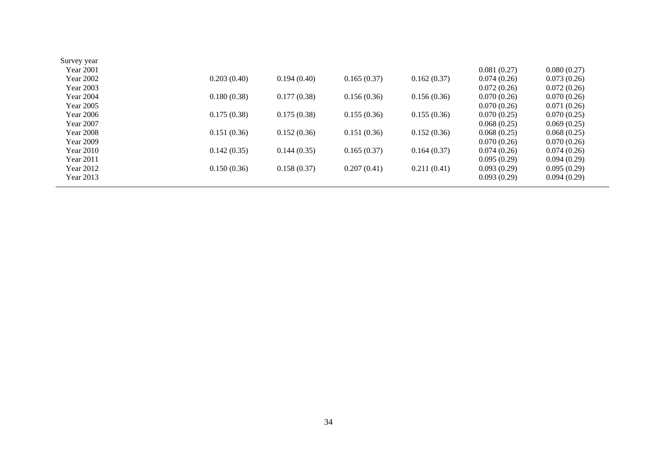| Survey year      |             |             |             |             |             |             |
|------------------|-------------|-------------|-------------|-------------|-------------|-------------|
| Year 2001        |             |             |             |             | 0.081(0.27) | 0.080(0.27) |
| Year 2002        | 0.203(0.40) | 0.194(0.40) | 0.165(0.37) | 0.162(0.37) | 0.074(0.26) | 0.073(0.26) |
| Year 2003        |             |             |             |             | 0.072(0.26) | 0.072(0.26) |
| Year 2004        | 0.180(0.38) | 0.177(0.38) | 0.156(0.36) | 0.156(0.36) | 0.070(0.26) | 0.070(0.26) |
| Year 2005        |             |             |             |             | 0.070(0.26) | 0.071(0.26) |
| <b>Year 2006</b> | 0.175(0.38) | 0.175(0.38) | 0.155(0.36) | 0.155(0.36) | 0.070(0.25) | 0.070(0.25) |
| Year 2007        |             |             |             |             | 0.068(0.25) | 0.069(0.25) |
| <b>Year 2008</b> | 0.151(0.36) | 0.152(0.36) | 0.151(0.36) | 0.152(0.36) | 0.068(0.25) | 0.068(0.25) |
| Year 2009        |             |             |             |             | 0.070(0.26) | 0.070(0.26) |
| Year 2010        | 0.142(0.35) | 0.144(0.35) | 0.165(0.37) | 0.164(0.37) | 0.074(0.26) | 0.074(0.26) |
| Year 2011        |             |             |             |             | 0.095(0.29) | 0.094(0.29) |
| <b>Year 2012</b> | 0.150(0.36) | 0.158(0.37) | 0.207(0.41) | 0.211(0.41) | 0.093(0.29) | 0.095(0.29) |
| Year 2013        |             |             |             |             | 0.093(0.29) | 0.094(0.29) |
|                  |             |             |             |             |             |             |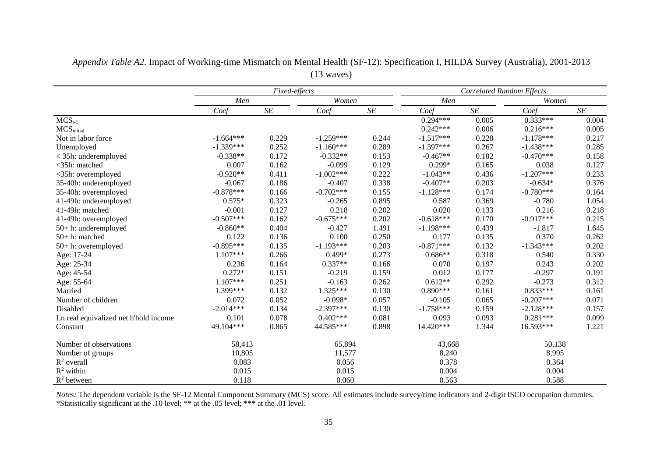|                                       |             | Fixed-effects |             |       |             | <b>Correlated Random Effects</b> |             |       |
|---------------------------------------|-------------|---------------|-------------|-------|-------------|----------------------------------|-------------|-------|
|                                       | Men         |               | Women       |       | Men         |                                  | Women       |       |
|                                       | Coef        | SE            | Coef        | SE    | Coef        | SE                               | Coef        | SE    |
| $MCS_{t-1}$                           |             |               |             |       | $0.294***$  | 0.005                            | $0.333***$  | 0.004 |
| MCS <sub>initial</sub>                |             |               |             |       | $0.242***$  | 0.006                            | $0.216***$  | 0.005 |
| Not in labor force                    | $-1.664***$ | 0.229         | $-1.259***$ | 0.244 | $-1.517***$ | 0.228                            | $-1.178***$ | 0.217 |
| Unemployed                            | $-1.339***$ | 0.252         | $-1.160***$ | 0.289 | $-1.397***$ | 0.267                            | $-1.438***$ | 0.285 |
| $<$ 35h: underemployed                | $-0.338**$  | 0.172         | $-0.332**$  | 0.153 | $-0.467**$  | 0.182                            | $-0.470***$ | 0.158 |
| <35h: matched                         | 0.007       | 0.162         | $-0.099$    | 0.129 | $0.299*$    | 0.165                            | 0.038       | 0.127 |
| <35h: overemployed                    | $-0.920**$  | 0.411         | $-1.002***$ | 0.222 | $-1.043**$  | 0.436                            | $-1.207***$ | 0.233 |
| 35-40h: underemployed                 | $-0.067$    | 0.186         | $-0.407$    | 0.338 | $-0.407**$  | 0.203                            | $-0.634*$   | 0.376 |
| 35-40h: overemployed                  | $-0.878***$ | 0.166         | $-0.702***$ | 0.155 | $-1.128***$ | 0.174                            | $-0.780***$ | 0.164 |
| 41-49h: underemployed                 | $0.575*$    | 0.323         | $-0.265$    | 0.895 | 0.587       | 0.369                            | $-0.780$    | 1.054 |
| 41-49h: matched                       | $-0.001$    | 0.127         | 0.218       | 0.202 | 0.020       | 0.133                            | 0.216       | 0.218 |
| 41-49h: overemployed                  | $-0.507***$ | 0.162         | $-0.675***$ | 0.202 | $-0.618***$ | 0.170                            | $-0.917***$ | 0.215 |
| $50+$ h: underemployed                | $-0.860**$  | 0.404         | $-0.427$    | 1.491 | $-1.198***$ | 0.439                            | $-1.817$    | 1.645 |
| 50+h: matched                         | 0.122       | 0.136         | 0.100       | 0.250 | 0.177       | 0.135                            | 0.370       | 0.262 |
| $50+$ h: overemployed                 | $-0.895***$ | 0.135         | $-1.193***$ | 0.203 | $-0.871***$ | 0.132                            | $-1.343***$ | 0.202 |
| Age: 17-24                            | $1.107***$  | 0.266         | $0.499*$    | 0.273 | $0.686**$   | 0.318                            | 0.540       | 0.330 |
| Age: 25-34                            | 0.236       | 0.164         | $0.337**$   | 0.166 | 0.070       | 0.197                            | 0.243       | 0.202 |
| Age: 45-54                            | $0.272*$    | 0.151         | $-0.219$    | 0.159 | 0.012       | 0.177                            | $-0.297$    | 0.191 |
| Age: 55-64                            | $1.107***$  | 0.251         | $-0.163$    | 0.262 | $0.612**$   | 0.292                            | $-0.273$    | 0.312 |
| Married                               | 1.399***    | 0.132         | $1.325***$  | 0.130 | $0.890***$  | 0.161                            | $0.833***$  | 0.161 |
| Number of children                    | 0.072       | 0.052         | $-0.098*$   | 0.057 | $-0.105$    | 0.065                            | $-0.207***$ | 0.071 |
| Disabled                              | $-2.014***$ | 0.134         | $-2.397***$ | 0.130 | $-1.758***$ | 0.159                            | $-2.128***$ | 0.157 |
| Ln real equivalized net h'hold income | 0.101       | 0.078         | $0.402***$  | 0.081 | 0.093       | 0.093                            | $0.281***$  | 0.099 |
| Constant                              | 49.104***   | 0.865         | 44.585***   | 0.898 | 14.420***   | 1.344                            | 16.593***   | 1.221 |
| Number of observations                | 58,413      |               | 65,894      |       | 43,668      |                                  | 50,138      |       |
| Number of groups                      | 10,805      |               | 11,577      |       | 8,240       |                                  | 8,995       |       |
| $R^2$ overall                         | 0.083       |               | 0.056       |       | 0.378       |                                  | 0.364       |       |
| $R^2$ within                          | 0.015       |               | 0.015       |       | 0.004       |                                  | 0.004       |       |
| $R^2$ between                         | 0.118       |               | 0.060       |       | 0.563       |                                  | 0.588       |       |

*Appendix Table A2.* Impact of Working-time Mismatch on Mental Health (SF-12): Specification I, HILDA Survey (Australia), 2001-2013 (13 waves)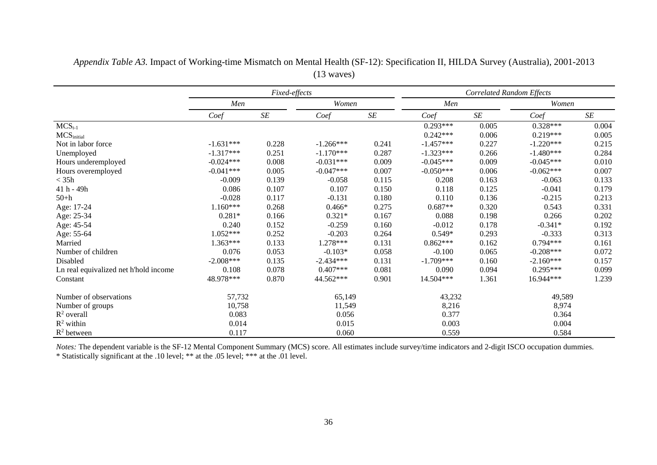|                                       | Fixed-effects |           |             |           |             | <b>Correlated Random Effects</b> |             |           |
|---------------------------------------|---------------|-----------|-------------|-----------|-------------|----------------------------------|-------------|-----------|
|                                       | Men           |           | Women       |           | Men         |                                  | Women       |           |
|                                       | Coef          | $\cal SE$ | Coef        | $\cal SE$ | Coef        | $\cal SE$                        | Coef        | $\cal SE$ |
| $MCS_{t-1}$                           |               |           |             |           | $0.293***$  | 0.005                            | $0.328***$  | 0.004     |
| MCS <sub>initial</sub>                |               |           |             |           | $0.242***$  | 0.006                            | $0.219***$  | 0.005     |
| Not in labor force.                   | $-1.631***$   | 0.228     | $-1.266***$ | 0.241     | $-1.457***$ | 0.227                            | $-1.220***$ | 0.215     |
| Unemployed                            | $-1.317***$   | 0.251     | $-1.170***$ | 0.287     | $-1.323***$ | 0.266                            | $-1.480***$ | 0.284     |
| Hours underemployed                   | $-0.024***$   | 0.008     | $-0.031***$ | 0.009     | $-0.045***$ | 0.009                            | $-0.045***$ | 0.010     |
| Hours overemployed                    | $-0.041***$   | 0.005     | $-0.047***$ | 0.007     | $-0.050***$ | 0.006                            | $-0.062***$ | 0.007     |
| $<$ 35 $h$                            | $-0.009$      | 0.139     | $-0.058$    | 0.115     | 0.208       | 0.163                            | $-0.063$    | 0.133     |
| 41 h - 49h                            | 0.086         | 0.107     | 0.107       | 0.150     | 0.118       | 0.125                            | $-0.041$    | 0.179     |
| $50+h$                                | $-0.028$      | 0.117     | $-0.131$    | 0.180     | 0.110       | 0.136                            | $-0.215$    | 0.213     |
| Age: 17-24                            | $1.160***$    | 0.268     | $0.466*$    | 0.275     | $0.687**$   | 0.320                            | 0.543       | 0.331     |
| Age: 25-34                            | $0.281*$      | 0.166     | $0.321*$    | 0.167     | 0.088       | 0.198                            | 0.266       | 0.202     |
| Age: 45-54                            | 0.240         | 0.152     | $-0.259$    | 0.160     | $-0.012$    | 0.178                            | $-0.341*$   | 0.192     |
| Age: 55-64                            | $1.052***$    | 0.252     | $-0.203$    | 0.264     | $0.549*$    | 0.293                            | $-0.333$    | 0.313     |
| Married                               | 1.363***      | 0.133     | 1.278***    | 0.131     | $0.862***$  | 0.162                            | $0.794***$  | 0.161     |
| Number of children                    | 0.076         | 0.053     | $-0.103*$   | 0.058     | $-0.100$    | 0.065                            | $-0.208***$ | 0.072     |
| Disabled                              | $-2.008***$   | 0.135     | $-2.434***$ | 0.131     | $-1.709***$ | 0.160                            | $-2.160***$ | 0.157     |
| Ln real equivalized net h'hold income | 0.108         | 0.078     | $0.407***$  | 0.081     | 0.090       | 0.094                            | $0.295***$  | 0.099     |
| Constant                              | 48.978***     | 0.870     | 44.562***   | 0.901     | 14.504***   | 1.361                            | 16.944***   | 1.239     |
| Number of observations                | 57,732        |           | 65,149      |           | 43,232      |                                  | 49,589      |           |
| Number of groups                      | 10,758        |           | 11,549      |           | 8,216       |                                  | 8,974       |           |
| $R^2$ overall                         | 0.083         |           | 0.056       |           | 0.377       |                                  | 0.364       |           |
| $R^2$ within                          | 0.014         |           | 0.015       |           | 0.003       |                                  | 0.004       |           |
| $R^2$ between                         | 0.117         |           | 0.060       |           |             |                                  | 0.584       |           |

*Appendix Table A3.* Impact of Working-time Mismatch on Mental Health (SF-12): Specification II, HILDA Survey (Australia), 2001-2013 (13 waves)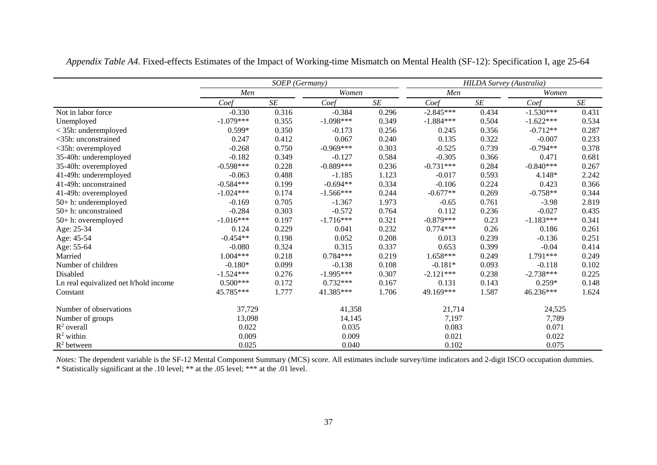|                                       |             | <b>HILDA Survey (Australia)</b> |             |       |             |           |             |       |
|---------------------------------------|-------------|---------------------------------|-------------|-------|-------------|-----------|-------------|-------|
|                                       | Men         |                                 | Women       |       | Men         |           | Women       |       |
|                                       | Coef        | $\cal SE$                       | Coef        | SE    | Coef        | $\cal SE$ | Coef        | SE    |
| Not in labor force                    | $-0.330$    | 0.316                           | $-0.384$    | 0.296 | $-2.845***$ | 0.434     | $-1.530***$ | 0.431 |
| Unemployed                            | $-1.079***$ | 0.355                           | $-1.098***$ | 0.349 | $-1.884***$ | 0.504     | $-1.622***$ | 0.534 |
| < 35h: underemployed                  | $0.599*$    | 0.350                           | $-0.173$    | 0.256 | 0.245       | 0.356     | $-0.712**$  | 0.287 |
| <35h: unconstrained                   | 0.247       | 0.412                           | 0.067       | 0.240 | 0.135       | 0.322     | $-0.007$    | 0.233 |
| <35h: overemployed                    | $-0.268$    | 0.750                           | $-0.969***$ | 0.303 | $-0.525$    | 0.739     | $-0.794**$  | 0.378 |
| 35-40h: underemployed                 | $-0.182$    | 0.349                           | $-0.127$    | 0.584 | $-0.305$    | 0.366     | 0.471       | 0.681 |
| 35-40h: overemployed                  | $-0.598***$ | 0.228                           | $-0.889***$ | 0.236 | $-0.731***$ | 0.284     | $-0.840***$ | 0.267 |
| 41-49h: underemployed                 | $-0.063$    | 0.488                           | $-1.185$    | 1.123 | $-0.017$    | 0.593     | 4.148*      | 2.242 |
| 41-49h: unconstrained                 | $-0.584***$ | 0.199                           | $-0.694**$  | 0.334 | $-0.106$    | 0.224     | 0.423       | 0.366 |
| 41-49h: overemployed                  | $-1.024***$ | 0.174                           | $-1.566***$ | 0.244 | $-0.677**$  | 0.269     | $-0.758**$  | 0.344 |
| 50+ h: underemployed                  | $-0.169$    | 0.705                           | $-1.367$    | 1.973 | $-0.65$     | 0.761     | $-3.98$     | 2.819 |
| $50+$ h: unconstrained                | $-0.284$    | 0.303                           | $-0.572$    | 0.764 | 0.112       | 0.236     | $-0.027$    | 0.435 |
| 50+ h: overemployed                   | $-1.016***$ | 0.197                           | $-1.716***$ | 0.321 | $-0.879***$ | 0.23      | $-1.183***$ | 0.341 |
| Age: 25-34                            | 0.124       | 0.229                           | 0.041       | 0.232 | $0.774***$  | 0.26      | 0.186       | 0.261 |
| Age: 45-54                            | $-0.454**$  | 0.198                           | 0.052       | 0.208 | 0.013       | 0.239     | $-0.136$    | 0.251 |
| Age: 55-64                            | $-0.080$    | 0.324                           | 0.315       | 0.337 | 0.653       | 0.399     | $-0.04$     | 0.414 |
| Married                               | 1.004***    | 0.218                           | $0.784***$  | 0.219 | $1.658***$  | 0.249     | $1.791***$  | 0.249 |
| Number of children                    | $-0.180*$   | 0.099                           | $-0.138$    | 0.108 | $-0.181*$   | 0.093     | $-0.118$    | 0.102 |
| Disabled                              | $-1.524***$ | 0.276                           | $-1.995***$ | 0.307 | $-2.121***$ | 0.238     | $-2.738***$ | 0.225 |
| Ln real equivalized net h'hold income | $0.500***$  | 0.172                           | $0.732***$  | 0.167 | 0.131       | 0.143     | $0.259*$    | 0.148 |
| Constant                              | 45.785***   | 1.777                           | 41.385***   | 1.706 | 49.169***   | 1.587     | 46.236***   | 1.624 |
| Number of observations                | 37,729      |                                 | 41,358      |       | 21,714      |           | 24,525      |       |
| Number of groups                      | 13,098      |                                 | 14,145      |       | 7,197       |           | 7,789       |       |
| $R^2$ overall                         | 0.022       |                                 | 0.035       |       | 0.083       |           | 0.071       |       |
| $R^2$ within                          | 0.009       |                                 | 0.009       |       | 0.021       |           | 0.022       |       |
| $R^2$ between                         | 0.025       |                                 | 0.040       |       | 0.102       |           | 0.075       |       |

*Appendix Table A4.* Fixed-effects Estimates of the Impact of Working-time Mismatch on Mental Health (SF-12): Specification I, age 25-64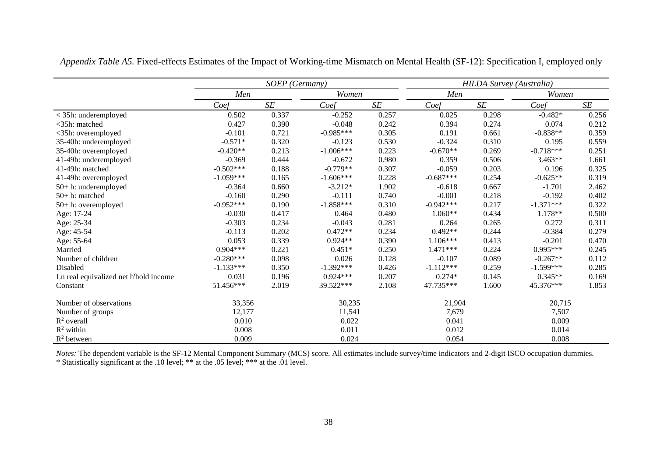|                                       |             | SOEP (Germany) |             |           |             | <b>HILDA Survey (Australia)</b> |             |       |
|---------------------------------------|-------------|----------------|-------------|-----------|-------------|---------------------------------|-------------|-------|
|                                       | Men         |                | Women       |           | Men         |                                 | Women       |       |
|                                       | Coef        | SE             | Coef        | $\cal SE$ | Coef        | SE                              | Coef        | SE    |
| < 35h: underemployed                  | 0.502       | 0.337          | $-0.252$    | 0.257     | 0.025       | 0.298                           | $-0.482*$   | 0.256 |
| $<$ 35h: matched                      | 0.427       | 0.390          | $-0.048$    | 0.242     | 0.394       | 0.274                           | 0.074       | 0.212 |
| <35h: overemployed                    | $-0.101$    | 0.721          | $-0.985***$ | 0.305     | 0.191       | 0.661                           | $-0.838**$  | 0.359 |
| 35-40h: underemployed                 | $-0.571*$   | 0.320          | $-0.123$    | 0.530     | $-0.324$    | 0.310                           | 0.195       | 0.559 |
| 35-40h: overemployed                  | $-0.420**$  | 0.213          | $-1.006***$ | 0.223     | $-0.670**$  | 0.269                           | $-0.718***$ | 0.251 |
| 41-49h: underemployed                 | $-0.369$    | 0.444          | $-0.672$    | 0.980     | 0.359       | 0.506                           | 3.463**     | 1.661 |
| 41-49h: matched                       | $-0.502***$ | 0.188          | $-0.779**$  | 0.307     | $-0.059$    | 0.203                           | 0.196       | 0.325 |
| 41-49h: overemployed                  | $-1.059***$ | 0.165          | $-1.606***$ | 0.228     | $-0.687***$ | 0.254                           | $-0.625**$  | 0.319 |
| 50+ h: underemployed                  | $-0.364$    | 0.660          | $-3.212*$   | 1.902     | $-0.618$    | 0.667                           | $-1.701$    | 2.462 |
| 50+ h: matched                        | $-0.160$    | 0.290          | $-0.111$    | 0.740     | $-0.001$    | 0.218                           | $-0.192$    | 0.402 |
| 50+ h: overemployed                   | $-0.952***$ | 0.190          | $-1.858***$ | 0.310     | $-0.942***$ | 0.217                           | $-1.371***$ | 0.322 |
| Age: 17-24                            | $-0.030$    | 0.417          | 0.464       | 0.480     | $1.060**$   | 0.434                           | $1.178**$   | 0.500 |
| Age: 25-34                            | $-0.303$    | 0.234          | $-0.043$    | 0.281     | 0.264       | 0.265                           | 0.272       | 0.311 |
| Age: 45-54                            | $-0.113$    | 0.202          | $0.472**$   | 0.234     | $0.492**$   | 0.244                           | $-0.384$    | 0.279 |
| Age: 55-64                            | 0.053       | 0.339          | $0.924**$   | 0.390     | $1.106***$  | 0.413                           | $-0.201$    | 0.470 |
| Married                               | $0.904***$  | 0.221          | $0.451*$    | 0.250     | $1.471***$  | 0.224                           | $0.995***$  | 0.245 |
| Number of children                    | $-0.280***$ | 0.098          | 0.026       | 0.128     | $-0.107$    | 0.089                           | $-0.267**$  | 0.112 |
| Disabled                              | $-1.133***$ | 0.350          | $-1.392***$ | 0.426     | $-1.112***$ | 0.259                           | $-1.599***$ | 0.285 |
| Ln real equivalized net h'hold income | 0.031       | 0.196          | $0.924***$  | 0.207     | $0.274*$    | 0.145                           | $0.345**$   | 0.169 |
| Constant                              | 51.456***   | 2.019          | 39.522***   | 2.108     | 47.735***   | 1.600                           | 45.376***   | 1.853 |
| Number of observations                | 33,356      |                | 30,235      |           | 21,904      |                                 | 20,715      |       |
| Number of groups                      | 12,177      |                | 11,541      |           | 7,679       |                                 | 7,507       |       |
| $R^2$ overall                         | 0.010       |                | 0.022       |           | 0.041       |                                 | 0.009       |       |
| $R^2$ within                          | 0.008       |                | 0.011       |           | 0.012       |                                 | 0.014       |       |
| $R^2$ between                         | 0.009       |                | 0.024       |           | 0.054       |                                 | 0.008       |       |

*Appendix Table A5.* Fixed-effects Estimates of the Impact of Working-time Mismatch on Mental Health (SF-12): Specification I, employed only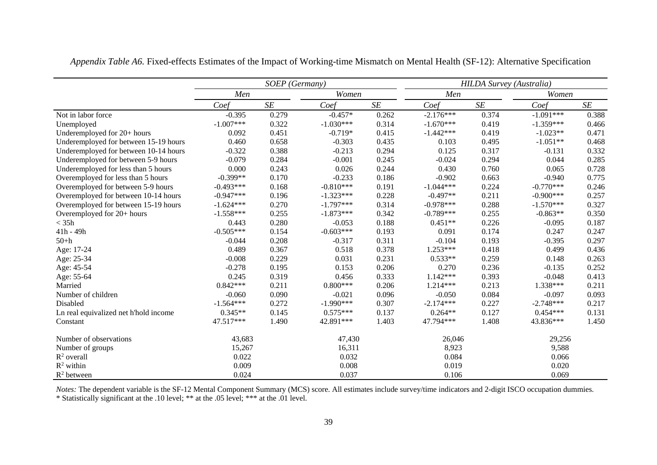|                                       |             | SOEP (Germany) |             |       |             | <b>HILDA Survey (Australia)</b> |             |       |
|---------------------------------------|-------------|----------------|-------------|-------|-------------|---------------------------------|-------------|-------|
|                                       | Men         |                | Women       |       | Men         |                                 | Women       |       |
|                                       | Coef        | $\cal SE$      | Coef        | SE    | Coef        | SE                              | Coef        | SE    |
| Not in labor force                    | $-0.395$    | 0.279          | $-0.457*$   | 0.262 | $-2.176***$ | 0.374                           | $-1.091***$ | 0.388 |
| Unemployed                            | $-1.007***$ | 0.322          | $-1.030***$ | 0.314 | $-1.670***$ | 0.419                           | $-1.359***$ | 0.466 |
| Underemployed for 20+ hours           | 0.092       | 0.451          | $-0.719*$   | 0.415 | $-1.442***$ | 0.419                           | $-1.023**$  | 0.471 |
| Underemployed for between 15-19 hours | 0.460       | 0.658          | $-0.303$    | 0.435 | 0.103       | 0.495                           | $-1.051**$  | 0.468 |
| Underemployed for between 10-14 hours | $-0.322$    | 0.388          | $-0.213$    | 0.294 | 0.125       | 0.317                           | $-0.131$    | 0.332 |
| Underemployed for between 5-9 hours   | $-0.079$    | 0.284          | $-0.001$    | 0.245 | $-0.024$    | 0.294                           | 0.044       | 0.285 |
| Underemployed for less than 5 hours   | 0.000       | 0.243          | 0.026       | 0.244 | 0.430       | 0.760                           | 0.065       | 0.728 |
| Overemployed for less than 5 hours    | $-0.399**$  | 0.170          | $-0.233$    | 0.186 | $-0.902$    | 0.663                           | $-0.940$    | 0.775 |
| Overemployed for between 5-9 hours    | $-0.493***$ | 0.168          | $-0.810***$ | 0.191 | $-1.044***$ | 0.224                           | $-0.770***$ | 0.246 |
| Overemployed for between 10-14 hours  | $-0.947***$ | 0.196          | $-1.323***$ | 0.228 | $-0.497**$  | 0.211                           | $-0.900***$ | 0.257 |
| Overemployed for between 15-19 hours  | $-1.624***$ | 0.270          | $-1.797***$ | 0.314 | $-0.978***$ | 0.288                           | $-1.570***$ | 0.327 |
| Overemployed for 20+ hours            | $-1.558***$ | 0.255          | $-1.873***$ | 0.342 | $-0.789***$ | 0.255                           | $-0.863**$  | 0.350 |
| $<$ 35h                               | 0.443       | 0.280          | $-0.053$    | 0.188 | $0.451**$   | 0.226                           | $-0.095$    | 0.187 |
| 41h - 49h                             | $-0.505***$ | 0.154          | $-0.603***$ | 0.193 | 0.091       | 0.174                           | 0.247       | 0.247 |
| $50+h$                                | $-0.044$    | 0.208          | $-0.317$    | 0.311 | $-0.104$    | 0.193                           | $-0.395$    | 0.297 |
| Age: 17-24                            | 0.489       | 0.367          | 0.518       | 0.378 | $1.253***$  | 0.418                           | 0.499       | 0.436 |
| Age: 25-34                            | $-0.008$    | 0.229          | 0.031       | 0.231 | $0.533**$   | 0.259                           | 0.148       | 0.263 |
| Age: 45-54                            | $-0.278$    | 0.195          | 0.153       | 0.206 | 0.270       | 0.236                           | $-0.135$    | 0.252 |
| Age: 55-64                            | 0.245       | 0.319          | 0.456       | 0.333 | $1.142***$  | 0.393                           | $-0.048$    | 0.413 |
| Married                               | $0.842***$  | 0.211          | $0.800***$  | 0.206 | 1.214***    | 0.213                           | $1.338***$  | 0.211 |
| Number of children                    | $-0.060$    | 0.090          | $-0.021$    | 0.096 | $-0.050$    | 0.084                           | $-0.097$    | 0.093 |
| Disabled                              | $-1.564***$ | 0.272          | $-1.990***$ | 0.307 | $-2.174***$ | 0.227                           | $-2.748***$ | 0.217 |
| Ln real equivalized net h'hold income | $0.345**$   | 0.145          | $0.575***$  | 0.137 | $0.264**$   | 0.127                           | $0.454***$  | 0.131 |
| Constant                              | 47.517***   | 1.490          | 42.891***   | 1.403 | 47.794***   | 1.408                           | 43.836***   | 1.450 |
| Number of observations                | 43,683      |                | 47,430      |       | 26,046      |                                 | 29,256      |       |
| Number of groups                      | 15,267      |                | 16,311      |       | 8,923       |                                 | 9,588       |       |
| $R^2$ overall                         | 0.022       |                | 0.032       |       | 0.084       |                                 | 0.066       |       |
| $R^2$ within                          | 0.009       |                | 0.008       |       | 0.019       |                                 | 0.020       |       |
| $R^2$ between                         | 0.024       |                | 0.037       |       | 0.106       |                                 | 0.069       |       |

*Appendix Table A6.* Fixed-effects Estimates of the Impact of Working-time Mismatch on Mental Health (SF-12): Alternative Specification

*Notes*: The dependent variable is the SF-12 Mental Component Summary (MCS) score. All estimates include survey/time indicators and 2-digit ISCO occupation dummies.

\* Statistically significant at the .10 level; \*\* at the .05 level; \*\*\* at the .01 level.